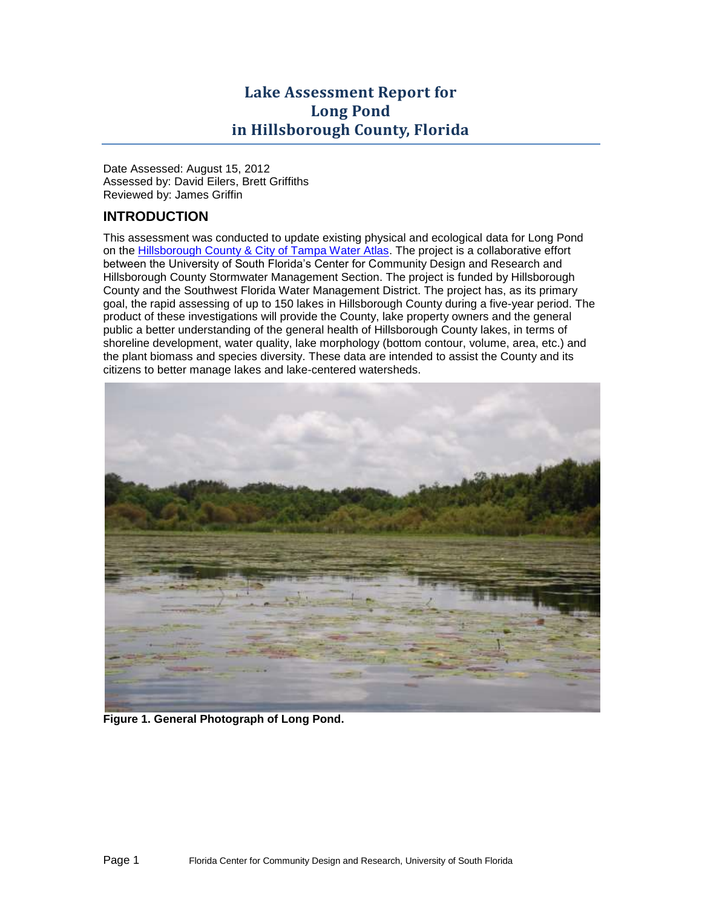# **Lake Assessment Report for Long Pond in Hillsborough County, Florida**

Date Assessed: August 15, 2012 Assessed by: David Eilers, Brett Griffiths Reviewed by: James Griffin

# **INTRODUCTION**

This assessment was conducted to update existing physical and ecological data for Long Pond on the [Hillsborough County & City of Tampa Water Atlas.](http://www.hillsborough.wateratlas.usf.edu/TopicDetails.aspx?TopicID=65) The project is a collaborative effort between the University of South Florida's Center for Community Design and Research and Hillsborough County Stormwater Management Section. The project is funded by Hillsborough County and the Southwest Florida Water Management District. The project has, as its primary goal, the rapid assessing of up to 150 lakes in Hillsborough County during a five-year period. The product of these investigations will provide the County, lake property owners and the general public a better understanding of the general health of Hillsborough County lakes, in terms of shoreline development, water quality, lake morphology (bottom contour, volume, area, etc.) and the plant biomass and species diversity. These data are intended to assist the County and its citizens to better manage lakes and lake-centered watersheds.



**Figure 1. General Photograph of Long Pond.**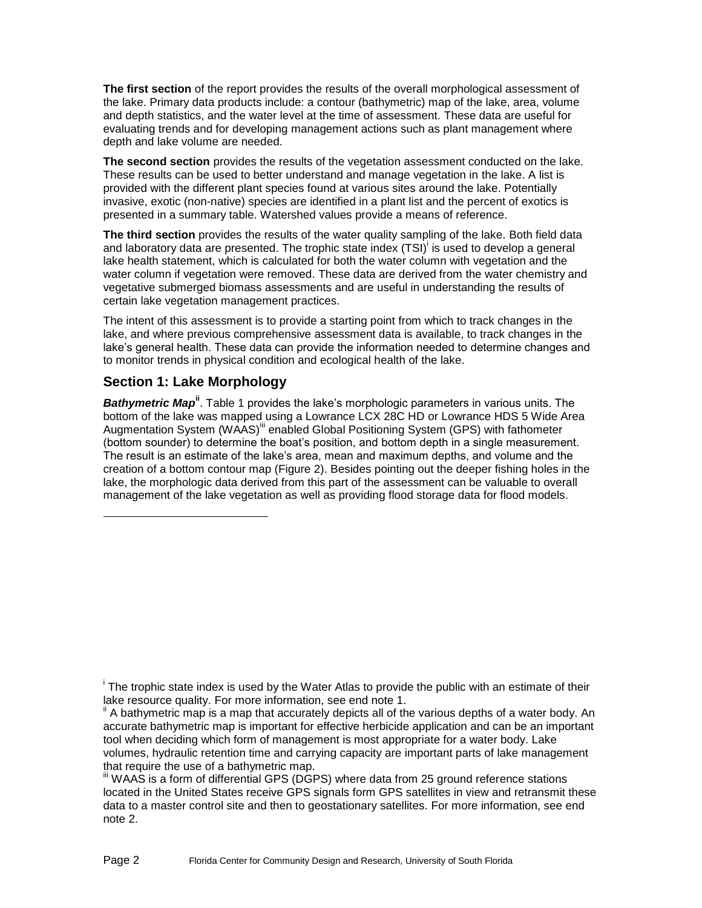**The first section** of the report provides the results of the overall morphological assessment of the lake. Primary data products include: a contour (bathymetric) map of the lake, area, volume and depth statistics, and the water level at the time of assessment. These data are useful for evaluating trends and for developing management actions such as plant management where depth and lake volume are needed.

**The second section** provides the results of the vegetation assessment conducted on the lake. These results can be used to better understand and manage vegetation in the lake. A list is provided with the different plant species found at various sites around the lake. Potentially invasive, exotic (non-native) species are identified in a plant list and the percent of exotics is presented in a summary table. Watershed values provide a means of reference.

<span id="page-1-0"></span>**The third section** provides the results of the water quality sampling of the lake. Both field data and laboratory data are presented. The trophic state index (TSI)<sup>i</sup> is used to develop a general lake health statement, which is calculated for both the water column with vegetation and the water column if vegetation were removed. These data are derived from the water chemistry and vegetative submerged biomass assessments and are useful in understanding the results of certain lake vegetation management practices.

The intent of this assessment is to provide a starting point from which to track changes in the lake, and where previous comprehensive assessment data is available, to track changes in the lake's general health. These data can provide the information needed to determine changes and to monitor trends in physical condition and ecological health of the lake.

### **Section 1: Lake Morphology**

l

**Bathymetric Map<sup>ii</sup>**. [Table 1](#page-2-0) provides the lake's morphologic parameters in various units. The bottom of the lake was mapped using a Lowrance LCX 28C HD or Lowrance HDS 5 Wide Area Augmentation System (WAAS)<sup>iii</sup> enabled Global Positioning System (GPS) with fathometer (bottom sounder) to determine the boat's position, and bottom depth in a single measurement. The result is an estimate of the lake's area, mean and maximum depths, and volume and the creation of a bottom contour map [\(Figure 2\)](#page-3-0). Besides pointing out the deeper fishing holes in the lake, the morphologic data derived from this part of the assessment can be valuable to overall management of the lake vegetation as well as providing flood storage data for flood models.

<sup>&</sup>lt;sup>i</sup> The trophic state index is used by the Water Atlas to provide the public with an estimate of their lake resource quality. For more information, see end note 1.

A bathymetric map is a map that accurately depicts all of the various depths of a water body. An accurate bathymetric map is important for effective herbicide application and can be an important tool when deciding which form of management is most appropriate for a water body. Lake volumes, hydraulic retention time and carrying capacity are important parts of lake management that require the use of a bathymetric map.

III WAAS is a form of differential GPS (DGPS) where data from 25 ground reference stations located in the United States receive GPS signals form GPS satellites in view and retransmit these data to a master control site and then to geostationary satellites. For more information, see end note 2.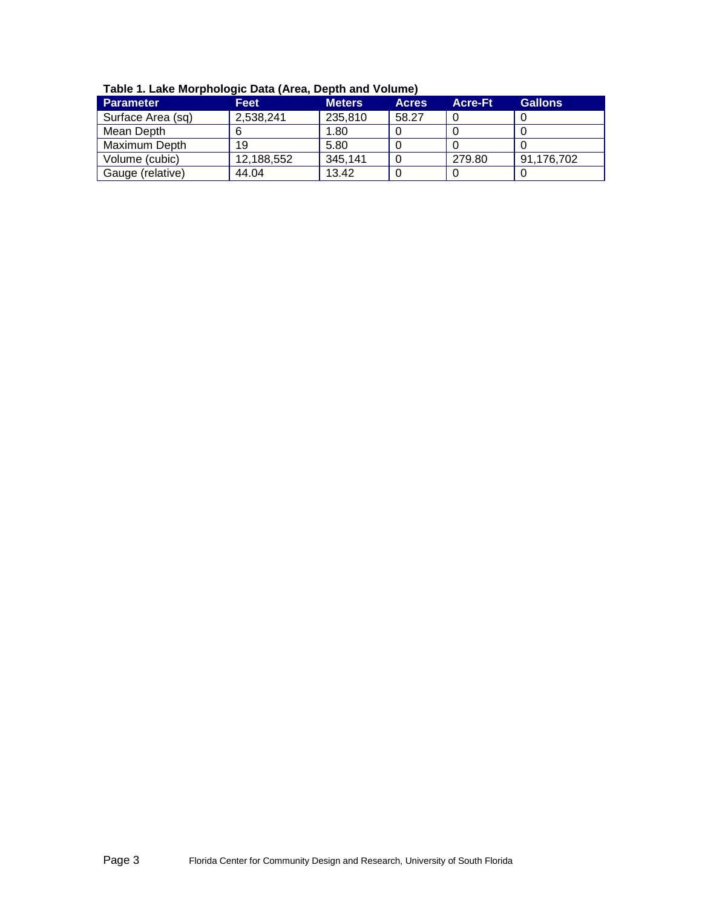| $1.4000$ $1.40000$ $1.4000$ $1.4000$ $1.4000$ $1.4000$ $1.4000$ $1.4000$ $1.4000$ |            |               |              |                |                |
|-----------------------------------------------------------------------------------|------------|---------------|--------------|----------------|----------------|
| <b>Parameter</b>                                                                  | Feet       | <b>Meters</b> | <b>Acres</b> | <b>Acre-Ft</b> | <b>Gallons</b> |
| Surface Area (sq)                                                                 | 2,538,241  | 235,810       | 58.27        |                |                |
| Mean Depth                                                                        |            | 1.80          |              |                |                |
| Maximum Depth                                                                     | 19         | 5.80          |              |                |                |
| Volume (cubic)                                                                    | 12,188,552 | 345,141       | 0            | 279.80         | 91,176,702     |
| Gauge (relative)                                                                  | 44.04      | 13.42         |              |                |                |

<span id="page-2-0"></span>**Table 1. Lake Morphologic Data (Area, Depth and Volume)**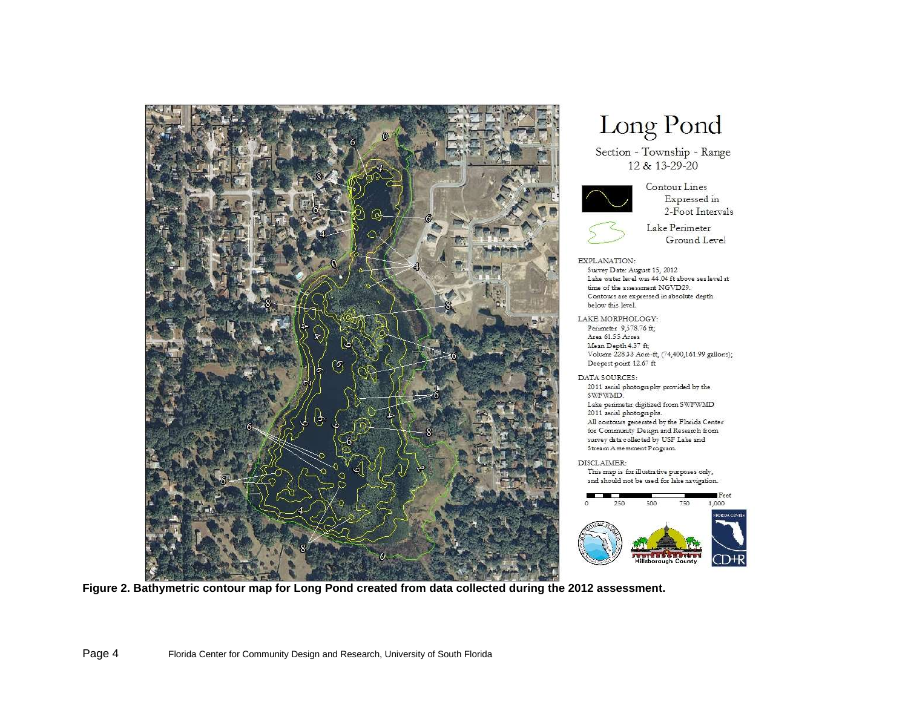

# Long Pond

Section - Township - Range 12 & 13-29-20



#### Contour Lines Expressed in 2-Foot Intervals



#### Lake Perimeter Ground Level

EXPLANATION: Survey Date: August 15, 2012 Lake water level was 44.04 ft above sea level at time of the assessment NGVD29. Contours are expressed in absolute depth below this level.

LAKE MORPHOLOGY: Perimeter 9,578.76 ft; Area 61.55 Acres Mean Depth 4.37 ft; Volume 228.33 Acre-ft, (74,400,161.99 gallons); Deepest point 12.67 ft

DATA SOURCES: 2011 aerial photography provided by the SWFWMD. Lake perimeter digitized from SWFWMD 2011 aerial photographs. All contours generated by the Florida Center for Community Design and Research from survey data collected by USF Lake and Stream Assessment Program.

#### DISCLAIMER:

This map is for illustrative purposes only, and should not be used for lake navigation.



<span id="page-3-0"></span>**Figure 2. Bathymetric contour map for Long Pond created from data collected during the 2012 assessment.**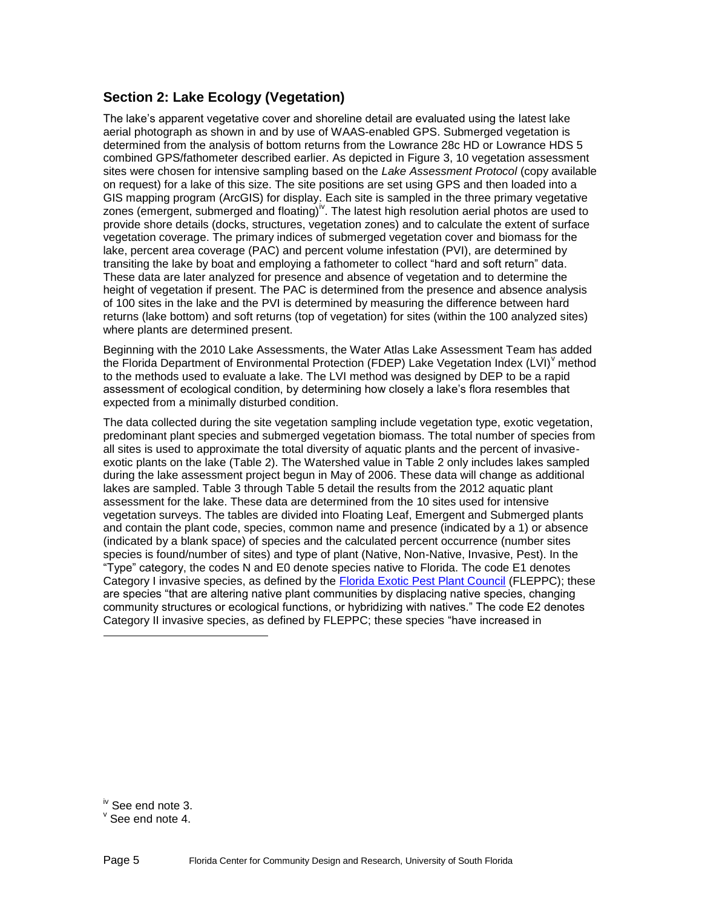# **Section 2: Lake Ecology (Vegetation)**

The lake's apparent vegetative cover and shoreline detail are evaluated using the latest lake aerial photograph as shown in and by use of WAAS-enabled GPS. Submerged vegetation is determined from the analysis of bottom returns from the Lowrance 28c HD or Lowrance HDS 5 combined GPS/fathometer described earlier. As depicted in [Figure 3,](#page-6-0) 10 vegetation assessment sites were chosen for intensive sampling based on the *Lake Assessment Protocol* (copy available on request) for a lake of this size. The site positions are set using GPS and then loaded into a GIS mapping program (ArcGIS) for display. Each site is sampled in the three primary vegetative zones (emergent, submerged and floating)<sup>iv</sup>. The latest high resolution aerial photos are used to provide shore details (docks, structures, vegetation zones) and to calculate the extent of surface vegetation coverage. The primary indices of submerged vegetation cover and biomass for the lake, percent area coverage (PAC) and percent volume infestation (PVI), are determined by transiting the lake by boat and employing a fathometer to collect "hard and soft return" data. These data are later analyzed for presence and absence of vegetation and to determine the height of vegetation if present. The PAC is determined from the presence and absence analysis of 100 sites in the lake and the PVI is determined by measuring the difference between hard returns (lake bottom) and soft returns (top of vegetation) for sites (within the 100 analyzed sites) where plants are determined present.

Beginning with the 2010 Lake Assessments, the Water Atlas Lake Assessment Team has added the Florida Department of Environmental Protection (FDEP) Lake Vegetation Index (LVI)<sup>V</sup> method to the methods used to evaluate a lake. The LVI method was designed by DEP to be a rapid assessment of ecological condition, by determining how closely a lake's flora resembles that expected from a minimally disturbed condition.

The data collected during the site vegetation sampling include vegetation type, exotic vegetation, predominant plant species and submerged vegetation biomass. The total number of species from all sites is used to approximate the total diversity of aquatic plants and the percent of invasiveexotic plants on the lake [\(Table 2\)](#page-5-0). The Watershed value in Table 2 only includes lakes sampled during the lake assessment project begun in May of 2006. These data will change as additional lakes are sampled. [Table 3](#page-7-0) through [Table 5](#page-11-0) detail the results from the 2012 aquatic plant assessment for the lake. These data are determined from the 10 sites used for intensive vegetation surveys. The tables are divided into Floating Leaf, Emergent and Submerged plants and contain the plant code, species, common name and presence (indicated by a 1) or absence (indicated by a blank space) of species and the calculated percent occurrence (number sites species is found/number of sites) and type of plant (Native, Non-Native, Invasive, Pest). In the "Type" category, the codes N and E0 denote species native to Florida. The code E1 denotes Category I invasive species, as defined by the [Florida Exotic Pest Plant Council](http://www.fleppc.org/) (FLEPPC); these are species "that are altering native plant communities by displacing native species, changing community structures or ecological functions, or hybridizing with natives." The code E2 denotes Category II invasive species, as defined by FLEPPC; these species "have increased in

l

 $\mathrm{v}$  See end note 4.

iv See end note 3.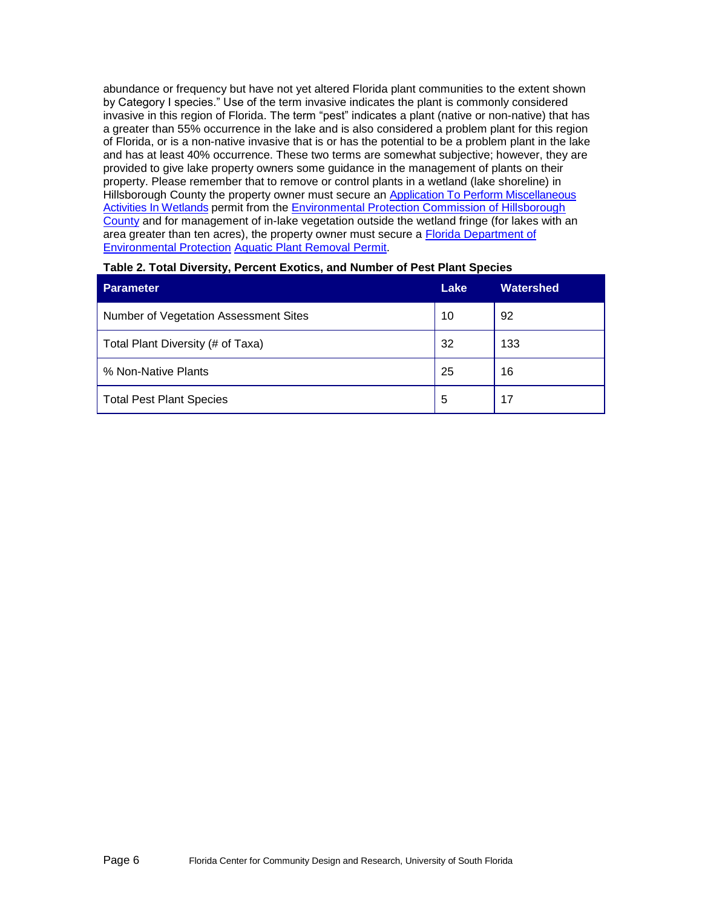abundance or frequency but have not yet altered Florida plant communities to the extent shown by Category I species." Use of the term invasive indicates the plant is commonly considered invasive in this region of Florida. The term "pest" indicates a plant (native or non-native) that has a greater than 55% occurrence in the lake and is also considered a problem plant for this region of Florida, or is a non-native invasive that is or has the potential to be a problem plant in the lake and has at least 40% occurrence. These two terms are somewhat subjective; however, they are provided to give lake property owners some guidance in the management of plants on their property. Please remember that to remove or control plants in a wetland (lake shoreline) in Hillsborough County the property owner must secure an Application To Perform Miscellaneous [Activities In Wetlands](http://www.epchc.org/Wetlands/MAIW20-MiscActivites.pdf) permit from the Environmental Protection Commission of Hillsborough [County](http://epchc.org/) and for management of in-lake vegetation outside the wetland fringe (for lakes with an area greater than ten acres), the property owner must secure a [Florida Department of](http://www.dep.state.fl.us/)  [Environmental Protection](http://www.dep.state.fl.us/) [Aquatic Plant Removal Permit.](http://www.myfwc.com/License/Index.htm)

| <b>Parameter</b>                      | Lake | Watershed |
|---------------------------------------|------|-----------|
| Number of Vegetation Assessment Sites | 10   | 92        |
| Total Plant Diversity (# of Taxa)     | 32   | 133       |
| % Non-Native Plants                   | 25   | 16        |
| <b>Total Pest Plant Species</b>       | 5    | 17        |

#### <span id="page-5-0"></span>**Table 2. Total Diversity, Percent Exotics, and Number of Pest Plant Species**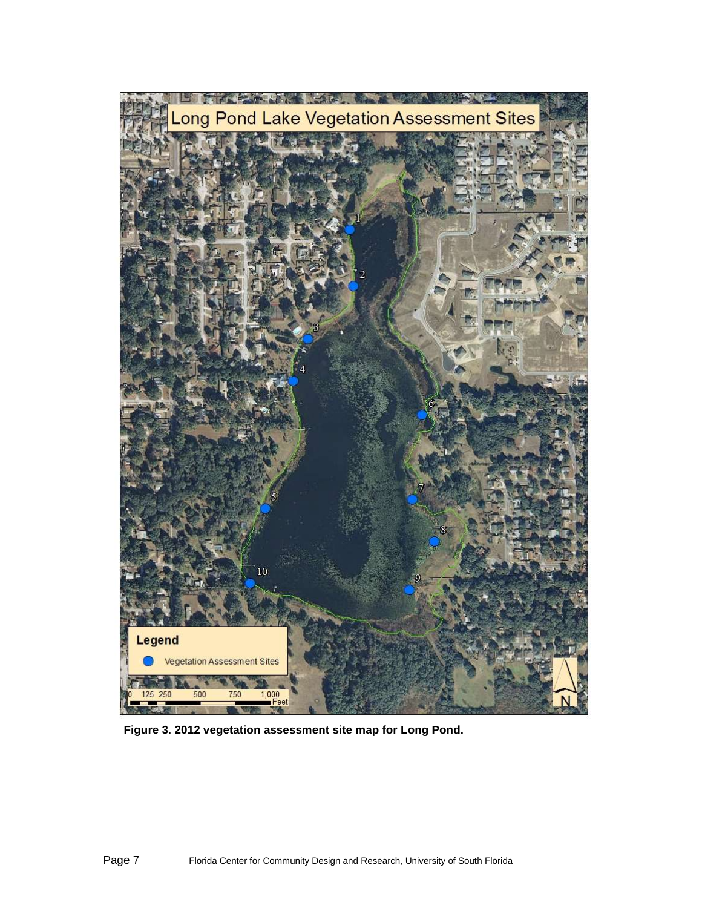

<span id="page-6-0"></span>**Figure 3. 2012 vegetation assessment site map for Long Pond.**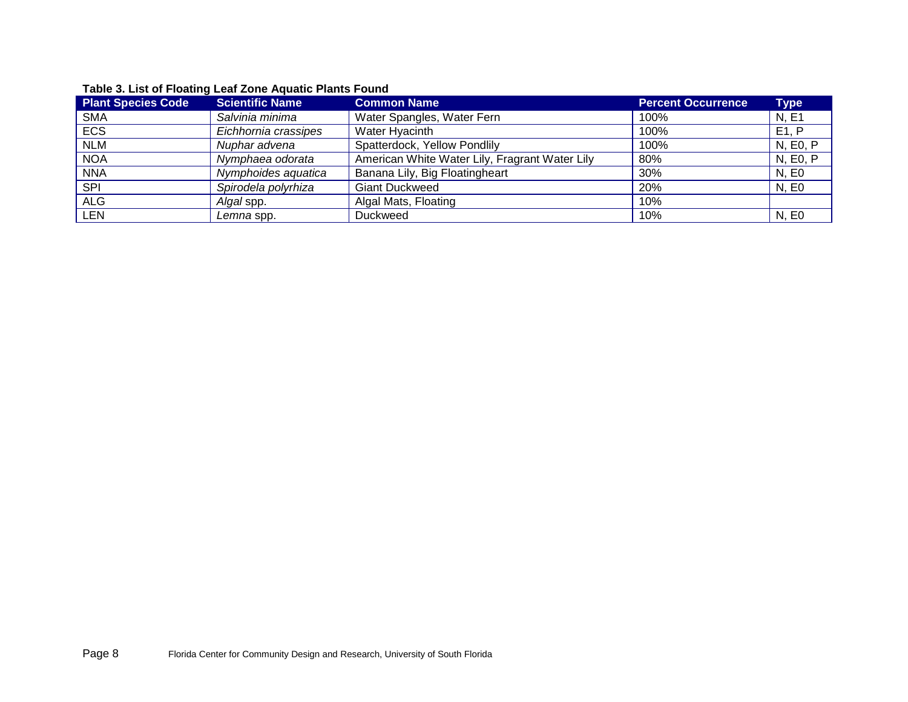<span id="page-7-0"></span>

| <b>Plant Species Code</b> | <b>Scientific Name</b> | <b>Common Name</b>                             | <b>Percent Occurrence</b> | <b>Type</b> |
|---------------------------|------------------------|------------------------------------------------|---------------------------|-------------|
| <b>SMA</b>                | Salvinia minima        | Water Spangles, Water Fern                     | 100%                      | N, E1       |
| <b>ECS</b>                | Eichhornia crassipes   | Water Hyacinth                                 | 100%                      | E1, P       |
| <b>NLM</b>                | Nuphar advena          | Spatterdock, Yellow Pondlily                   | 100%                      | N, E0, P    |
| <b>NOA</b>                | Nymphaea odorata       | American White Water Lily, Fragrant Water Lily | 80%                       | N, E0, P    |
| <b>NNA</b>                | Nymphoides aquatica    | Banana Lily, Big Floatingheart                 | 30%                       | N. E0       |
| <b>SPI</b>                | Spirodela polyrhiza    | <b>Giant Duckweed</b>                          | 20%                       | N, E0       |
| <b>ALG</b>                | Algal spp.             | Algal Mats, Floating                           | 10%                       |             |
| LEN                       | Lemna spp.             | Duckweed                                       | 10%                       | N. E0       |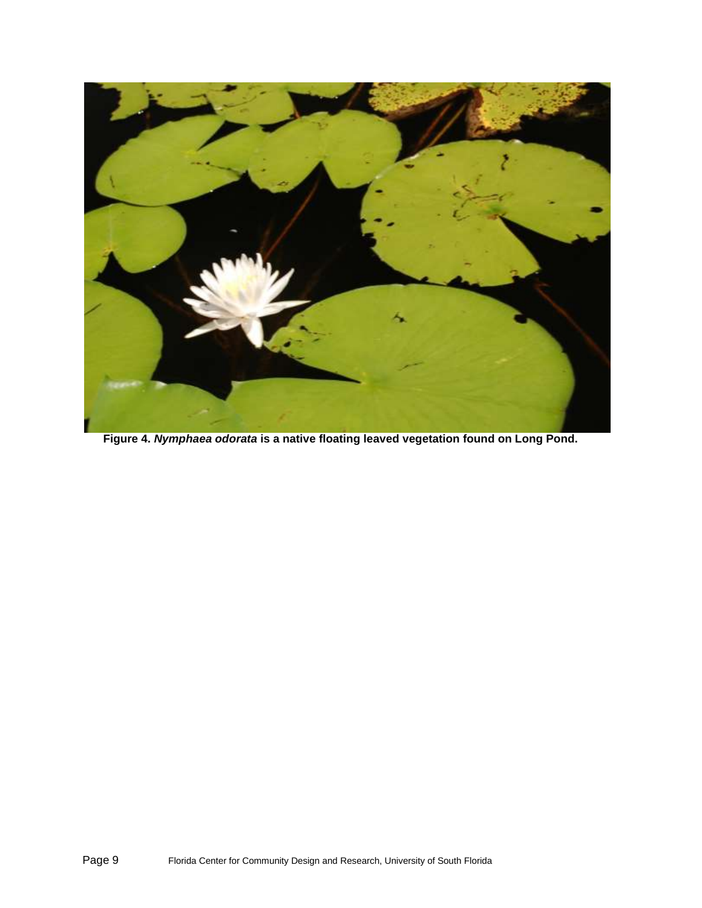

**Figure 4.** *Nymphaea odorata* **is a native floating leaved vegetation found on Long Pond.**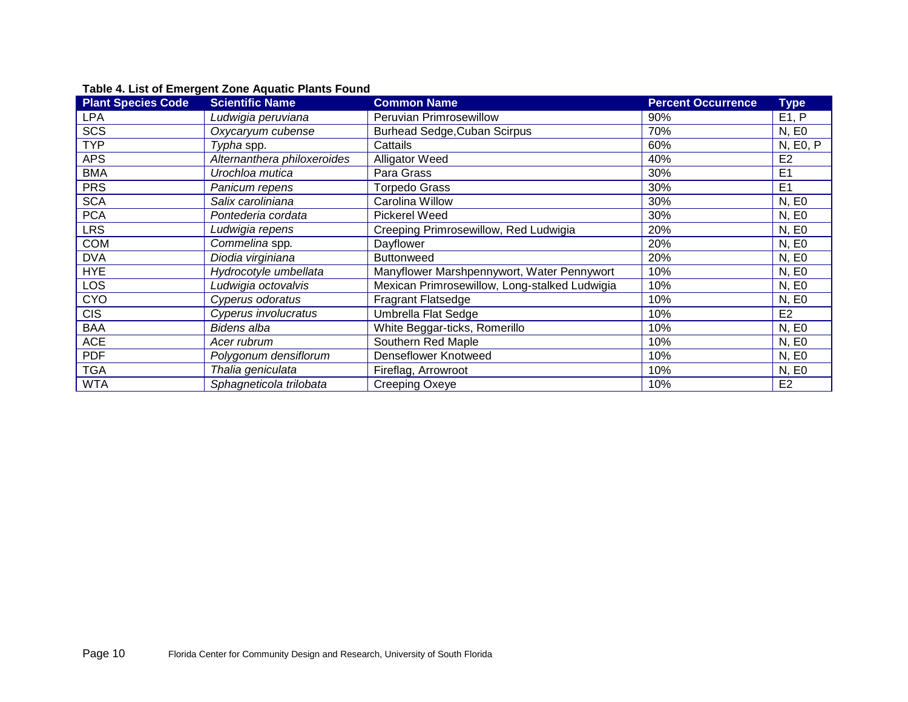| <b>Plant Species Code</b> | <b>Scientific Name</b>      | <b>Common Name</b>                            | <b>Percent Occurrence</b> | <b>Type</b>    |
|---------------------------|-----------------------------|-----------------------------------------------|---------------------------|----------------|
| LPA                       | Ludwigia peruviana          | Peruvian Primrosewillow                       | 90%                       | E1, P          |
| <b>SCS</b>                | Oxycaryum cubense           | <b>Burhead Sedge, Cuban Scirpus</b>           | 70%                       | N, E0          |
| <b>TYP</b>                | Typha spp.                  | Cattails                                      | 60%                       | N, E0, P       |
| <b>APS</b>                | Alternanthera philoxeroides | <b>Alligator Weed</b>                         | 40%                       | E <sub>2</sub> |
| <b>BMA</b>                | Urochloa mutica             | Para Grass                                    | 30%                       | E <sub>1</sub> |
| <b>PRS</b>                | Panicum repens              | <b>Torpedo Grass</b>                          | 30%                       | E <sub>1</sub> |
| <b>SCA</b>                | Salix caroliniana           | Carolina Willow                               | 30%                       | N, E0          |
| <b>PCA</b>                | Pontederia cordata          | Pickerel Weed                                 | 30%                       | N, E0          |
| LRS                       | Ludwigia repens             | Creeping Primrosewillow, Red Ludwigia         | 20%                       | N, E0          |
| <b>COM</b>                | Commelina spp.              | Dayflower                                     | 20%                       | N, E0          |
| <b>DVA</b>                | Diodia virginiana           | <b>Buttonweed</b>                             | 20%                       | N, E0          |
| <b>HYE</b>                | Hydrocotyle umbellata       | Manyflower Marshpennywort, Water Pennywort    | 10%                       | N, E0          |
| LOS                       | Ludwigia octovalvis         | Mexican Primrosewillow, Long-stalked Ludwigia | 10%                       | N, E0          |
| <b>CYO</b>                | Cyperus odoratus            | <b>Fragrant Flatsedge</b>                     | 10%                       | N, E0          |
| <b>CIS</b>                | Cyperus involucratus        | <b>Umbrella Flat Sedge</b>                    | 10%                       | E <sub>2</sub> |
| <b>BAA</b>                | <b>Bidens alba</b>          | White Beggar-ticks, Romerillo                 | 10%                       | N, E0          |
| <b>ACE</b>                | Acer rubrum                 | Southern Red Maple                            | 10%                       | N, E0          |
| <b>PDF</b>                | Polygonum densiflorum       | <b>Denseflower Knotweed</b>                   | 10%                       | N, E0          |
| <b>TGA</b>                | Thalia geniculata           | Fireflag, Arrowroot                           | 10%                       | N, E0          |
| <b>WTA</b>                | Sphagneticola trilobata     | Creeping Oxeye                                | 10%                       | E <sub>2</sub> |

# **Table 4. List of Emergent Zone Aquatic Plants Found**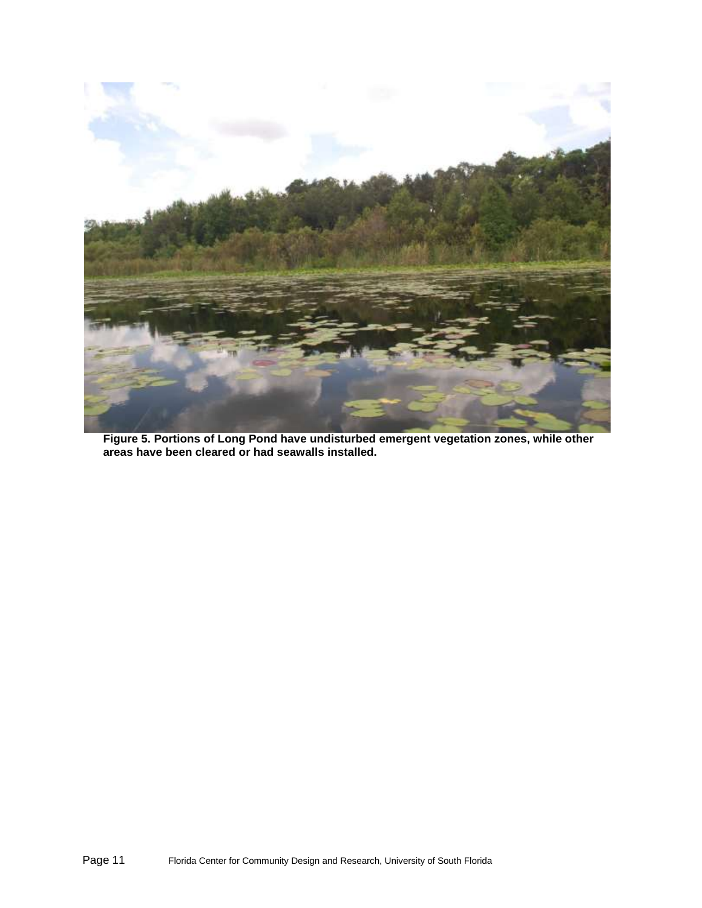

**Figure 5. Portions of Long Pond have undisturbed emergent vegetation zones, while other areas have been cleared or had seawalls installed.**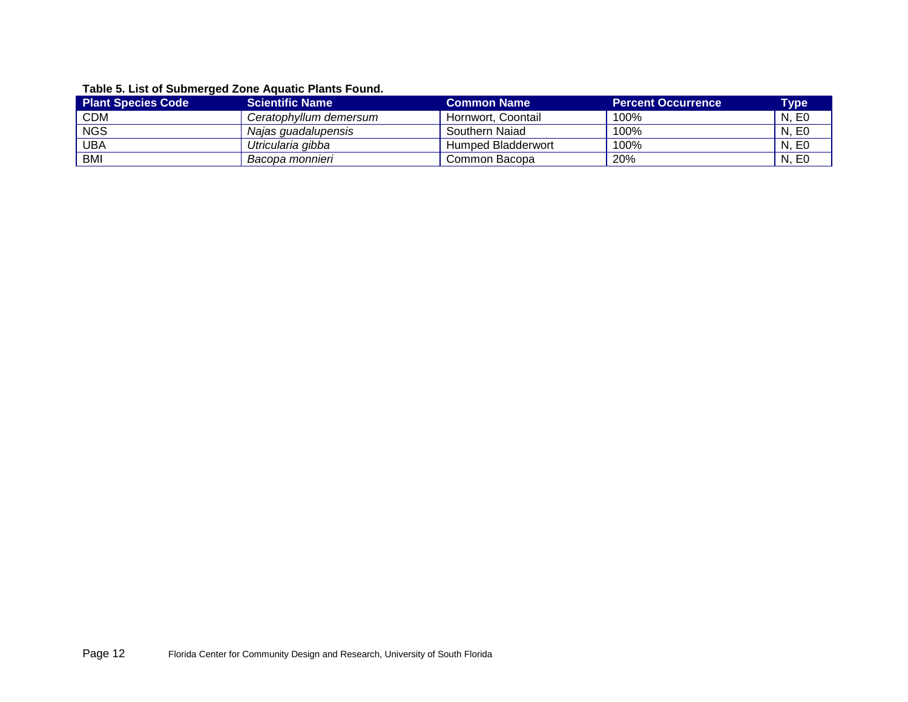# **Table 5. List of Submerged Zone Aquatic Plants Found.**

<span id="page-11-0"></span>

| <b>Plant Species Code</b> | <b>Scientific Name</b> | <b>Common Name</b> | <b>Percent Occurrence</b> | Type  |
|---------------------------|------------------------|--------------------|---------------------------|-------|
| <b>CDM</b>                | Ceratophyllum demersum | Hornwort, Coontail | 100%                      | N, E0 |
| <b>NGS</b>                | Najas guadalupensis    | Southern Naiad     | 100%                      | N. E0 |
| <b>UBA</b>                | Utricularia gibba      | Humped Bladderwort | 100%                      | N. E0 |
| <b>BMI</b>                | Bacopa monnieri        | Common Bacopa      | 20%                       | N. E0 |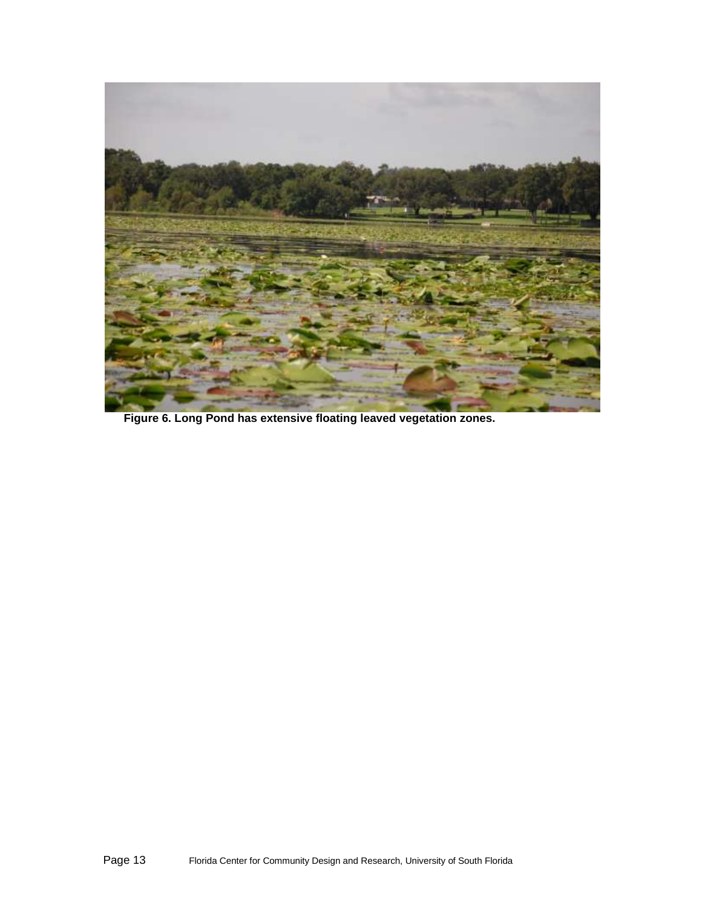

**Figure 6. Long Pond has extensive floating leaved vegetation zones.**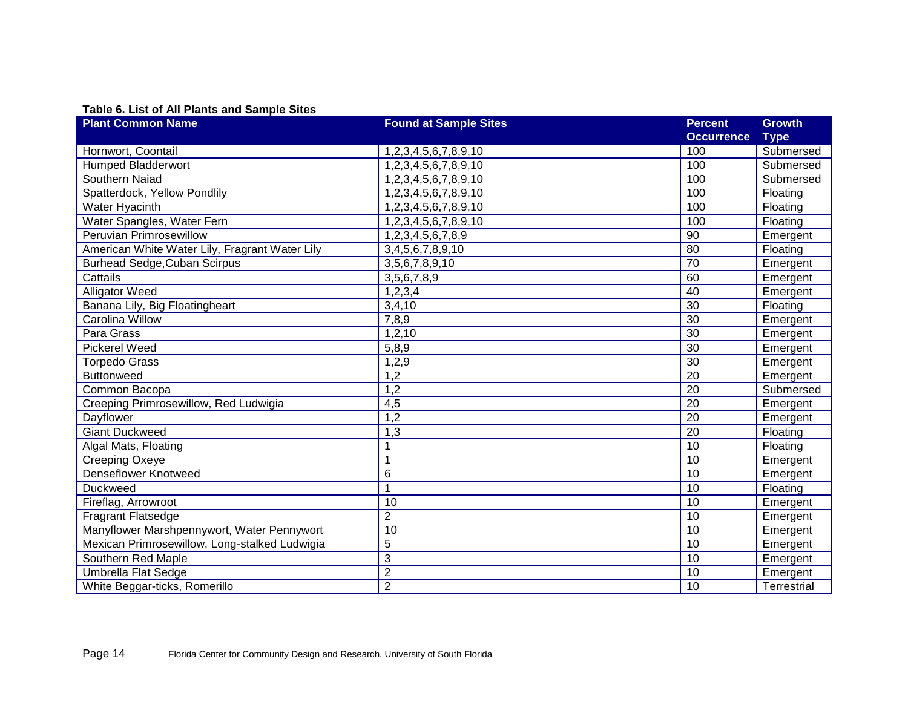# **Table 6. List of All Plants and Sample Sites**

| <b>Plant Common Name</b>                       | <b>Found at Sample Sites</b> | <b>Percent</b>    | <b>Growth</b>      |
|------------------------------------------------|------------------------------|-------------------|--------------------|
|                                                |                              | <b>Occurrence</b> | <b>Type</b>        |
| Hornwort, Coontail                             | 1,2,3,4,5,6,7,8,9,10         | 100               | Submersed          |
| <b>Humped Bladderwort</b>                      | 1,2,3,4,5,6,7,8,9,10         | 100               | Submersed          |
| Southern Naiad                                 | 1,2,3,4,5,6,7,8,9,10         | 100               | Submersed          |
| Spatterdock, Yellow Pondlily                   | 1,2,3,4,5,6,7,8,9,10         | 100               | Floating           |
| Water Hyacinth                                 | 1,2,3,4,5,6,7,8,9,10         | 100               | Floating           |
| Water Spangles, Water Fern                     | 1,2,3,4,5,6,7,8,9,10         | 100               | Floating           |
| Peruvian Primrosewillow                        | 1,2,3,4,5,6,7,8,9            | 90                | Emergent           |
| American White Water Lily, Fragrant Water Lily | 3,4,5,6,7,8,9,10             | 80                | Floating           |
| <b>Burhead Sedge, Cuban Scirpus</b>            | 3,5,6,7,8,9,10               | 70                | Emergent           |
| Cattails                                       | 3,5,6,7,8,9                  | 60                | Emergent           |
| <b>Alligator Weed</b>                          | 1, 2, 3, 4                   | 40                | Emergent           |
| Banana Lily, Big Floatingheart                 | 3,4,10                       | $\overline{30}$   | Floating           |
| Carolina Willow                                | 7,8,9                        | 30                | Emergent           |
| Para Grass                                     | 1,2,10                       | $\overline{30}$   | Emergent           |
| <b>Pickerel Weed</b>                           | 5,8,9                        | $\overline{30}$   | Emergent           |
| <b>Torpedo Grass</b>                           | 1,2,9                        | 30                | Emergent           |
| Buttonweed                                     | 1,2                          | $\overline{20}$   | Emergent           |
| Common Bacopa                                  | 1,2                          | 20                | Submersed          |
| Creeping Primrosewillow, Red Ludwigia          | 4,5                          | 20                | Emergent           |
| Dayflower                                      | 1,2                          | $\overline{20}$   | Emergent           |
| <b>Giant Duckweed</b>                          | 1,3                          | 20                | Floating           |
| Algal Mats, Floating                           |                              | 10                | Floating           |
| <b>Creeping Oxeye</b>                          | 1                            | 10                | Emergent           |
| <b>Denseflower Knotweed</b>                    | 6                            | 10                | Emergent           |
| <b>Duckweed</b>                                | 1                            | 10                | Floating           |
| Fireflag, Arrowroot                            | 10                           | 10                | Emergent           |
| <b>Fragrant Flatsedge</b>                      | $\overline{c}$               | 10                | Emergent           |
| Manyflower Marshpennywort, Water Pennywort     | 10                           | 10                | Emergent           |
| Mexican Primrosewillow, Long-stalked Ludwigia  | 5                            | 10                | Emergent           |
| Southern Red Maple                             | 3                            | $\overline{10}$   | Emergent           |
| <b>Umbrella Flat Sedge</b>                     | $\overline{\mathbf{c}}$      | 10                | Emergent           |
| White Beggar-ticks, Romerillo                  | $\overline{2}$               | 10                | <b>Terrestrial</b> |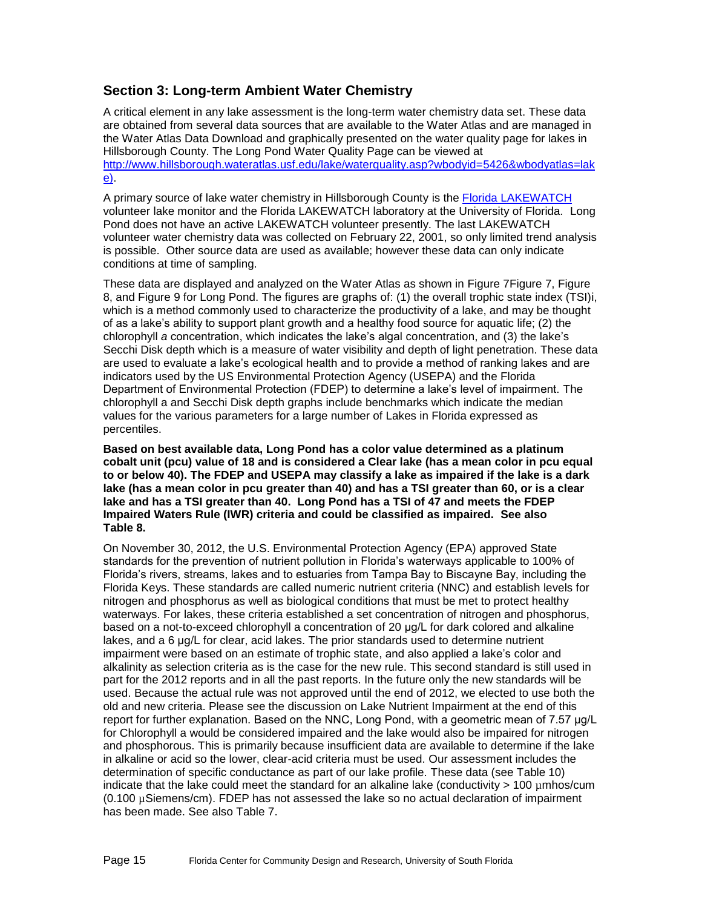## **Section 3: Long-term Ambient Water Chemistry**

A critical element in any lake assessment is the long-term water chemistry data set. These data are obtained from several data sources that are available to the Water Atlas and are managed in the Water Atlas Data Download and graphically presented on the water quality page for lakes in Hillsborough County. The Long Pond Water Quality Page can be viewed at [http://www.hillsborough.wateratlas.usf.edu/lake/waterquality.asp?wbodyid=5426&wbodyatlas=lak](file:///C:/Users/eilers/Downloads/http:/www.hillsborough.wateratlas.usf.edu/lake/waterquality.asp%3fwbodyid=5426&wbodyatlas=lake) [e\)](file:///C:/Users/eilers/Downloads/http:/www.hillsborough.wateratlas.usf.edu/lake/waterquality.asp%3fwbodyid=5426&wbodyatlas=lake).

A primary source of lake water chemistry in Hillsborough County is the [Florida LAKEWATCH](http://lakewatch.ifas.ufl.edu/) volunteer lake monitor and the Florida LAKEWATCH laboratory at the University of Florida. Long Pond does not have an active LAKEWATCH volunteer presently. The last LAKEWATCH volunteer water chemistry data was collected on February 22, 2001, so only limited trend analysis is possible. Other source data are used as available; however these data can only indicate conditions at time of sampling.

These data are displayed and analyzed on the Water Atlas as shown in [Figure 7Figure 7,](#page-15-0) [Figure](#page-17-0)  [8,](#page-17-0) and [Figure 9](#page-18-0) for Long Pond. The figures are graphs of: (1) the overall trophic state index (TSI[\)i,](#page-1-0) which is a method commonly used to characterize the productivity of a lake, and may be thought of as a lake's ability to support plant growth and a healthy food source for aquatic life; (2) the chlorophyll *a* concentration, which indicates the lake's algal concentration, and (3) the lake's Secchi Disk depth which is a measure of water visibility and depth of light penetration. These data are used to evaluate a lake's ecological health and to provide a method of ranking lakes and are indicators used by the US Environmental Protection Agency (USEPA) and the Florida Department of Environmental Protection (FDEP) to determine a lake's level of impairment. The chlorophyll a and Secchi Disk depth graphs include benchmarks which indicate the median values for the various parameters for a large number of Lakes in Florida expressed as percentiles.

**Based on best available data, Long Pond has a color value determined as a platinum cobalt unit (pcu) value of 18 and is considered a Clear lake (has a mean color in pcu equal to or below 40). The FDEP and USEPA may classify a lake as impaired if the lake is a dark lake (has a mean color in pcu greater than 40) and has a TSI greater than 60, or is a clear lake and has a TSI greater than 40. Long Pond has a TSI of 47 and meets the FDEP Impaired Waters Rule (IWR) criteria and could be classified as impaired. See also [Table 8.](#page-19-0)** 

On November 30, 2012, the U.S. Environmental Protection Agency (EPA) approved State standards for the prevention of nutrient pollution in Florida's waterways applicable to 100% of Florida's rivers, streams, lakes and to estuaries from Tampa Bay to Biscayne Bay, including the Florida Keys. These standards are called numeric nutrient criteria (NNC) and establish levels for nitrogen and phosphorus as well as biological conditions that must be met to protect healthy waterways. For lakes, these criteria established a set concentration of nitrogen and phosphorus, based on a not-to-exceed chlorophyll a concentration of 20 μg/L for dark colored and alkaline lakes, and a 6 μg/L for clear, acid lakes. The prior standards used to determine nutrient impairment were based on an estimate of trophic state, and also applied a lake's color and alkalinity as selection criteria as is the case for the new rule. This second standard is still used in part for the 2012 reports and in all the past reports. In the future only the new standards will be used. Because the actual rule was not approved until the end of 2012, we elected to use both the old and new criteria. Please see the discussion on Lake Nutrient Impairment at the end of this report for further explanation. Based on the NNC, Long Pond, with a geometric mean of 7.57 μg/L for Chlorophyll a would be considered impaired and the lake would also be impaired for nitrogen and phosphorous. This is primarily because insufficient data are available to determine if the lake in alkaline or acid so the lower, clear-acid criteria must be used. Our assessment includes the determination of specific conductance as part of our lake profile. These data (see [Table 10\)](#page-21-0) indicate that the lake could meet the standard for an alkaline lake (conductivity > 100 µmhos/cum (0.100 µSiemens/cm). FDEP has not assessed the lake so no actual declaration of impairment has been made. See also Table 7.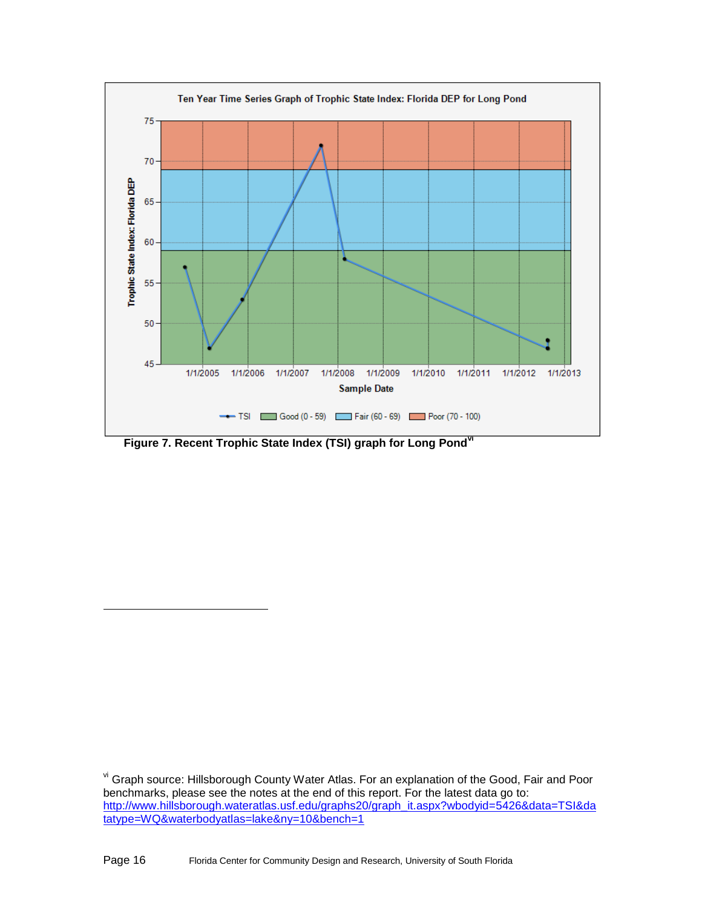

<span id="page-15-0"></span>**Figure 7. Recent Trophic State Index (TSI) graph for Long Pondvi**

l

vi Graph source: Hillsborough County Water Atlas. For an explanation of the Good, Fair and Poor benchmarks, please see the notes at the end of this report. For the latest data go to: [http://www.hillsborough.wateratlas.usf.edu/graphs20/graph\\_it.aspx?wbodyid=5426&data=TSI&da](http://www.hillsborough.wateratlas.usf.edu/graphs20/graph_it.aspx?wbodyid=%7bWBODY_ID%7d&data=TSI&datatype=WQ&waterbodyatlas=lake&ny=10&bench=1) [tatype=WQ&waterbodyatlas=lake&ny=10&bench=1](http://www.hillsborough.wateratlas.usf.edu/graphs20/graph_it.aspx?wbodyid=%7bWBODY_ID%7d&data=TSI&datatype=WQ&waterbodyatlas=lake&ny=10&bench=1)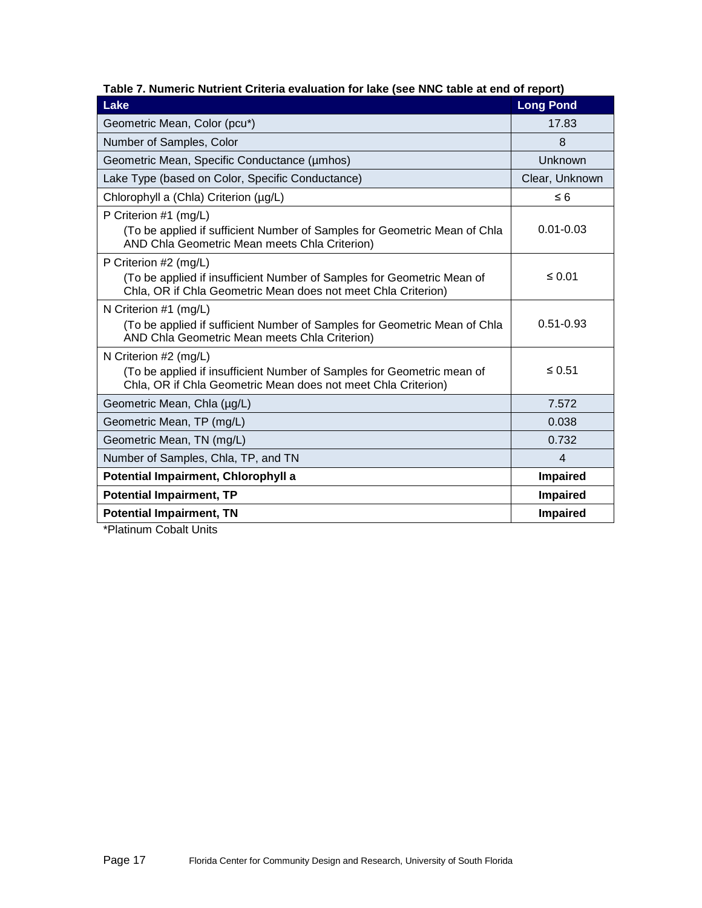| Lake                                                                                                                                                             | <b>Long Pond</b> |
|------------------------------------------------------------------------------------------------------------------------------------------------------------------|------------------|
| Geometric Mean, Color (pcu*)                                                                                                                                     | 17.83            |
| Number of Samples, Color                                                                                                                                         | 8                |
| Geometric Mean, Specific Conductance (umhos)                                                                                                                     | Unknown          |
| Lake Type (based on Color, Specific Conductance)                                                                                                                 | Clear, Unknown   |
| Chlorophyll a (Chla) Criterion (µg/L)                                                                                                                            | $\leq 6$         |
| P Criterion #1 (mg/L)<br>(To be applied if sufficient Number of Samples for Geometric Mean of Chla<br>AND Chla Geometric Mean meets Chla Criterion)              | $0.01 - 0.03$    |
| P Criterion #2 (mg/L)<br>(To be applied if insufficient Number of Samples for Geometric Mean of<br>Chla, OR if Chla Geometric Mean does not meet Chla Criterion) | $\leq 0.01$      |
| N Criterion #1 (mg/L)<br>(To be applied if sufficient Number of Samples for Geometric Mean of Chla<br>AND Chla Geometric Mean meets Chla Criterion)              | $0.51 - 0.93$    |
| N Criterion #2 (mg/L)<br>(To be applied if insufficient Number of Samples for Geometric mean of<br>Chla, OR if Chla Geometric Mean does not meet Chla Criterion) | ≤ $0.51$         |
| Geometric Mean, Chla (µg/L)                                                                                                                                      | 7.572            |
| Geometric Mean, TP (mg/L)                                                                                                                                        | 0.038            |
| Geometric Mean, TN (mg/L)                                                                                                                                        | 0.732            |
| Number of Samples, Chla, TP, and TN                                                                                                                              | $\overline{4}$   |
| Potential Impairment, Chlorophyll a                                                                                                                              | <b>Impaired</b>  |
| <b>Potential Impairment, TP</b>                                                                                                                                  | Impaired         |
| <b>Potential Impairment, TN</b>                                                                                                                                  | Impaired         |

#### **Table 7. Numeric Nutrient Criteria evaluation for lake (see [NNC table](#page-25-0) at end of report)**

\*Platinum Cobalt Units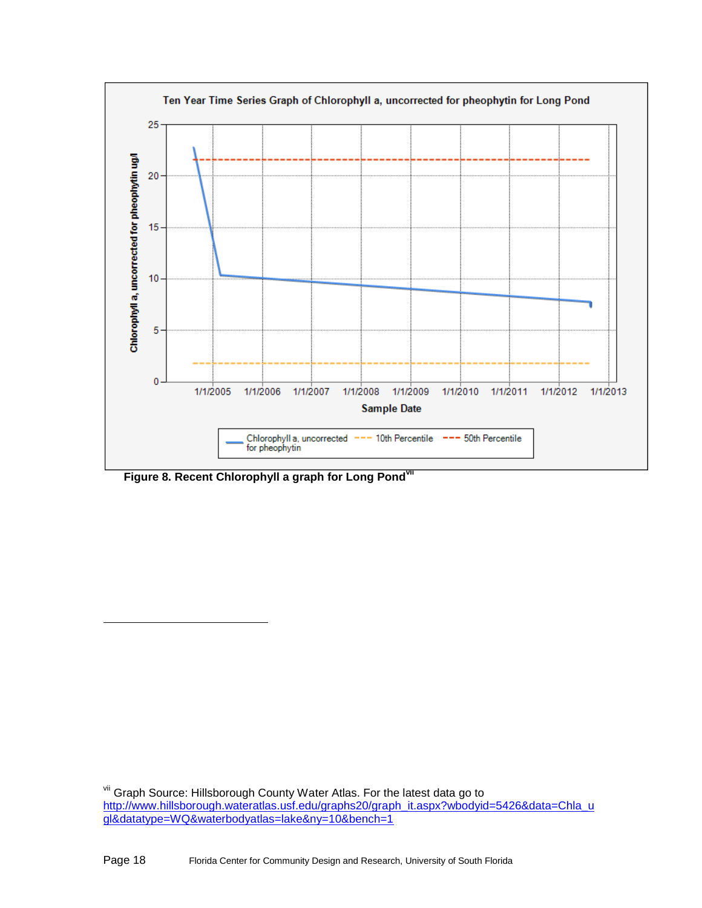

<span id="page-17-0"></span>**Figure 8. Recent Chlorophyll a graph for Long Pondvii**

l

<sup>&</sup>lt;sup>vii</sup> Graph Source: Hillsborough County Water Atlas. For the latest data go to [http://www.hillsborough.wateratlas.usf.edu/graphs20/graph\\_it.aspx?wbodyid=5426&data=Chla\\_u](http://www.hillsborough.wateratlas.usf.edu/graphs20/graph_it.aspx?wbodyid=%7bWBODY_ID%7d&data=Chla_ugl&datatype=WQ&waterbodyatlas=lake&ny=10&bench=1) [gl&datatype=WQ&waterbodyatlas=lake&ny=10&bench=1](http://www.hillsborough.wateratlas.usf.edu/graphs20/graph_it.aspx?wbodyid=%7bWBODY_ID%7d&data=Chla_ugl&datatype=WQ&waterbodyatlas=lake&ny=10&bench=1)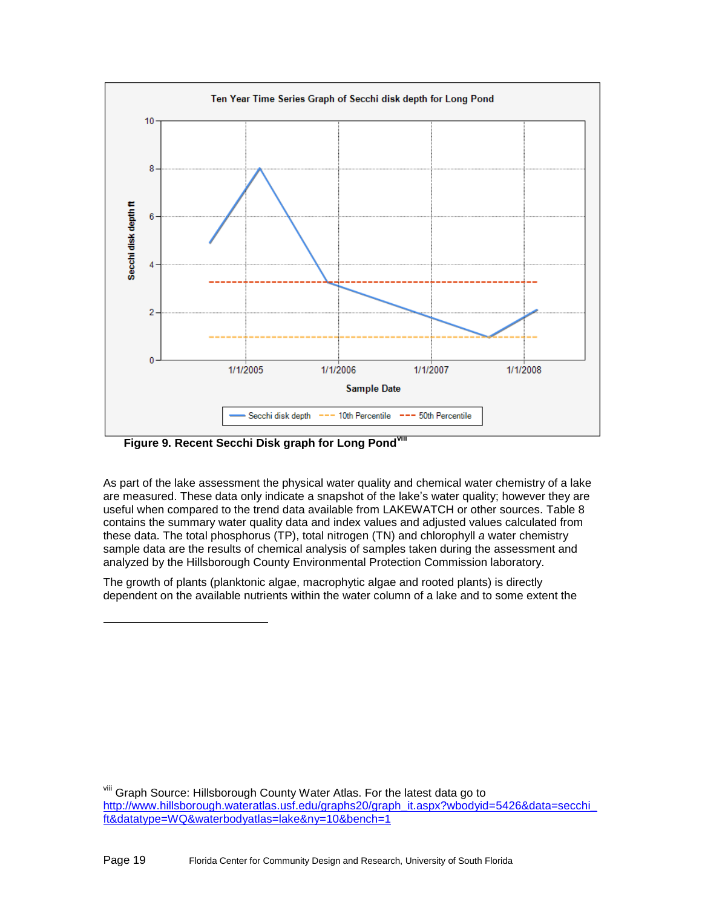

<span id="page-18-0"></span>**Figure 9. Recent Secchi Disk graph for Long Pondviii**

l

As part of the lake assessment the physical water quality and chemical water chemistry of a lake are measured. These data only indicate a snapshot of the lake's water quality; however they are useful when compared to the trend data available from LAKEWATCH or other sources. [Table 8](#page-19-1) contains the summary water quality data and index values and adjusted values calculated from these data. The total phosphorus (TP), total nitrogen (TN) and chlorophyll *a* water chemistry sample data are the results of chemical analysis of samples taken during the assessment and analyzed by the Hillsborough County Environmental Protection Commission laboratory.

The growth of plants (planktonic algae, macrophytic algae and rooted plants) is directly dependent on the available nutrients within the water column of a lake and to some extent the

viii Graph Source: Hillsborough County Water Atlas. For the latest data go to [http://www.hillsborough.wateratlas.usf.edu/graphs20/graph\\_it.aspx?wbodyid=5426&data=secchi\\_](http://www.hillsborough.wateratlas.usf.edu/graphs20/graph_it.aspx?wbodyid=%7bWBODY_ID%7d&data=secchi_ft&datatype=WQ&waterbodyatlas=lake&ny=10&bench=1) [ft&datatype=WQ&waterbodyatlas=lake&ny=10&bench=1](http://www.hillsborough.wateratlas.usf.edu/graphs20/graph_it.aspx?wbodyid=%7bWBODY_ID%7d&data=secchi_ft&datatype=WQ&waterbodyatlas=lake&ny=10&bench=1)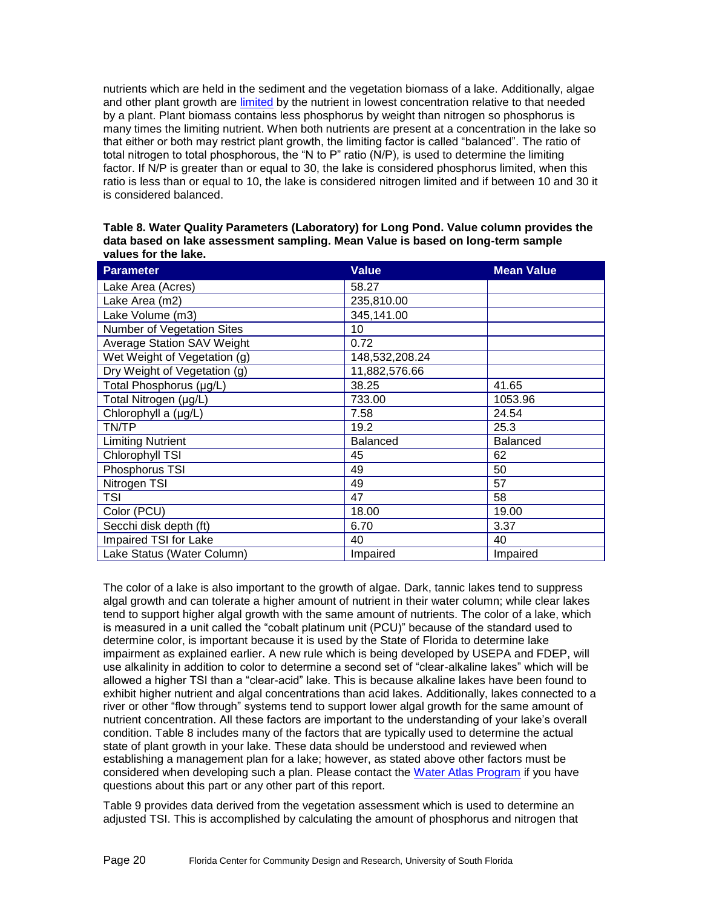nutrients which are held in the sediment and the vegetation biomass of a lake. Additionally, algae and other plant growth are [limited](mailto:http://plants.ifas.ufl.edu/guide/limnut.html) by the nutrient in lowest concentration relative to that needed by a plant. Plant biomass contains less phosphorus by weight than nitrogen so phosphorus is many times the limiting nutrient. When both nutrients are present at a concentration in the lake so that either or both may restrict plant growth, the limiting factor is called "balanced". The ratio of total nitrogen to total phosphorous, the "N to P" ratio (N/P), is used to determine the limiting factor. If N/P is greater than or equal to 30, the lake is considered phosphorus limited, when this ratio is less than or equal to 10, the lake is considered nitrogen limited and if between 10 and 30 it is considered balanced.

<span id="page-19-1"></span><span id="page-19-0"></span>

| Table 8. Water Quality Parameters (Laboratory) for Long Pond. Value column provides the |
|-----------------------------------------------------------------------------------------|
| data based on lake assessment sampling. Mean Value is based on long-term sample         |
| values for the lake.                                                                    |

| <b>Parameter</b>             | <b>Value</b>    | <b>Mean Value</b> |
|------------------------------|-----------------|-------------------|
| Lake Area (Acres)            | 58.27           |                   |
| Lake Area (m2)               | 235,810.00      |                   |
| Lake Volume (m3)             | 345,141.00      |                   |
| Number of Vegetation Sites   | 10              |                   |
| Average Station SAV Weight   | 0.72            |                   |
| Wet Weight of Vegetation (g) | 148,532,208.24  |                   |
| Dry Weight of Vegetation (g) | 11,882,576.66   |                   |
| Total Phosphorus (µg/L)      | 38.25           | 41.65             |
| Total Nitrogen (µg/L)        | 733.00          | 1053.96           |
| Chlorophyll a (µg/L)         | 7.58            | 24.54             |
| TN/TP                        | 19.2            | 25.3              |
| <b>Limiting Nutrient</b>     | <b>Balanced</b> | <b>Balanced</b>   |
| Chlorophyll TSI              | 45              | 62                |
| Phosphorus TSI               | 49              | 50                |
| Nitrogen TSI                 | 49              | 57                |
| <b>TSI</b>                   | 47              | 58                |
| Color (PCU)                  | 18.00           | 19.00             |
| Secchi disk depth (ft)       | 6.70            | 3.37              |
| Impaired TSI for Lake        | 40              | 40                |
| Lake Status (Water Column)   | Impaired        | Impaired          |

The color of a lake is also important to the growth of algae. Dark, tannic lakes tend to suppress algal growth and can tolerate a higher amount of nutrient in their water column; while clear lakes tend to support higher algal growth with the same amount of nutrients. The color of a lake, which is measured in a unit called the "cobalt platinum unit (PCU)" because of the standard used to determine color, is important because it is used by the State of Florida to determine lake impairment as explained earlier. A new rule which is being developed by USEPA and FDEP, will use alkalinity in addition to color to determine a second set of "clear-alkaline lakes" which will be allowed a higher TSI than a "clear-acid" lake. This is because alkaline lakes have been found to exhibit higher nutrient and algal concentrations than acid lakes. Additionally, lakes connected to a river or other "flow through" systems tend to support lower algal growth for the same amount of nutrient concentration. All these factors are important to the understanding of your lake's overall condition. [Table 8](#page-19-1) includes many of the factors that are typically used to determine the actual state of plant growth in your lake. These data should be understood and reviewed when establishing a management plan for a lake; however, as stated above other factors must be considered when developing such a plan. Please contact the [Water Atlas Program](mailto:griffin@arch.usf.edu) if you have questions about this part or any other part of this report.

[Table 9](#page-20-0) provides data derived from the vegetation assessment which is used to determine an adjusted TSI. This is accomplished by calculating the amount of phosphorus and nitrogen that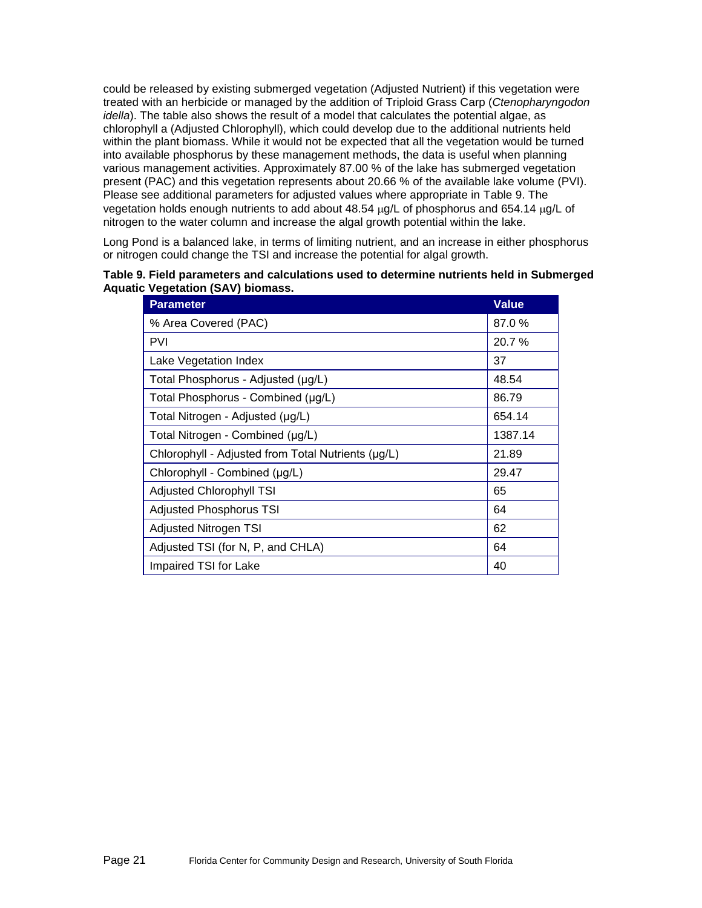could be released by existing submerged vegetation (Adjusted Nutrient) if this vegetation were treated with an herbicide or managed by the addition of Triploid Grass Carp (*Ctenopharyngodon idella*). The table also shows the result of a model that calculates the potential algae, as chlorophyll a (Adjusted Chlorophyll), which could develop due to the additional nutrients held within the plant biomass. While it would not be expected that all the vegetation would be turned into available phosphorus by these management methods, the data is useful when planning various management activities. Approximately 87.00 % of the lake has submerged vegetation present (PAC) and this vegetation represents about 20.66 % of the available lake volume (PVI). Please see additional parameters for adjusted values where appropriate in [Table 9.](#page-20-0) The vegetation holds enough nutrients to add about  $48.54 \mu g/L$  of phosphorus and 654.14  $\mu g/L$  of nitrogen to the water column and increase the algal growth potential within the lake.

Long Pond is a balanced lake, in terms of limiting nutrient, and an increase in either phosphorus or nitrogen could change the TSI and increase the potential for algal growth.

<span id="page-20-0"></span>

| Table 9. Field parameters and calculations used to determine nutrients held in Submerged |  |
|------------------------------------------------------------------------------------------|--|
| <b>Aquatic Vegetation (SAV) biomass.</b>                                                 |  |

| <b>Parameter</b>                                   | <b>Value</b> |
|----------------------------------------------------|--------------|
| % Area Covered (PAC)                               | 87.0 %       |
| <b>PVI</b>                                         | 20.7%        |
| Lake Vegetation Index                              | 37           |
| Total Phosphorus - Adjusted (µg/L)                 | 48.54        |
| Total Phosphorus - Combined (µg/L)                 | 86.79        |
| Total Nitrogen - Adjusted (µg/L)                   | 654.14       |
| Total Nitrogen - Combined (µg/L)                   | 1387.14      |
| Chlorophyll - Adjusted from Total Nutrients (µg/L) | 21.89        |
| Chlorophyll - Combined (µg/L)                      | 29.47        |
| <b>Adjusted Chlorophyll TSI</b>                    | 65           |
| <b>Adjusted Phosphorus TSI</b>                     | 64           |
| Adjusted Nitrogen TSI                              | 62           |
| Adjusted TSI (for N, P, and CHLA)                  | 64           |
| Impaired TSI for Lake                              | 40           |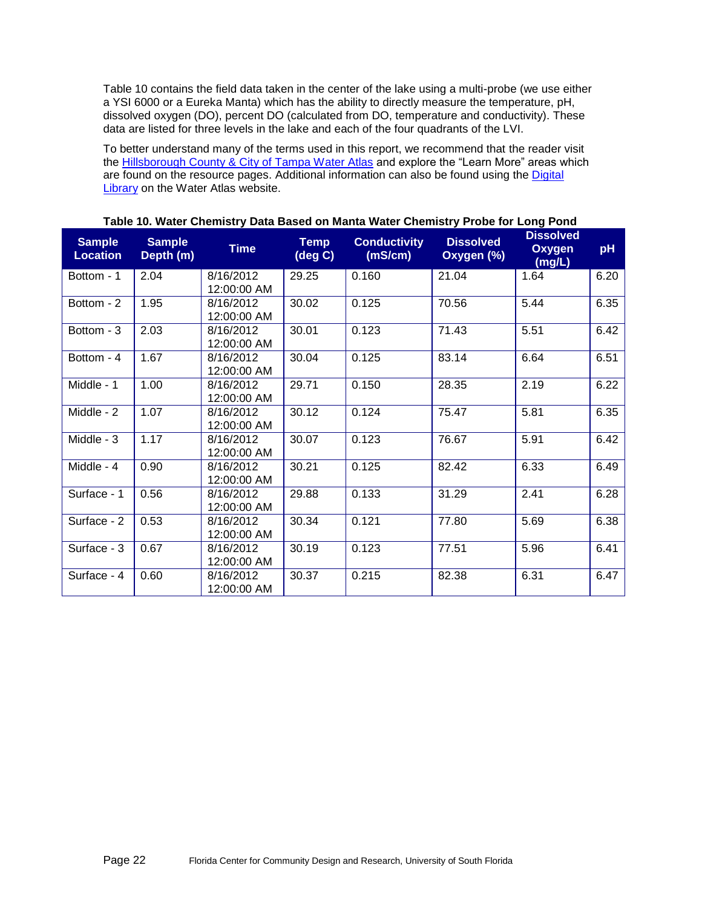[Table 10](#page-21-0) contains the field data taken in the center of the lake using a multi-probe (we use either a YSI 6000 or a Eureka Manta) which has the ability to directly measure the temperature, pH, dissolved oxygen (DO), percent DO (calculated from DO, temperature and conductivity). These data are listed for three levels in the lake and each of the four quadrants of the LVI.

To better understand many of the terms used in this report, we recommend that the reader visit the [Hillsborough County & City of Tampa Water Atlas](http://www.hillsborough.wateratlas.usf.edu/topics.aspx#quality) and explore the "Learn More" areas which are found on the resource pages. Additional information can also be found using the [Digital](http://www.hillsborough.wateratlas.usf.edu/digitallibrary/)  **[Library](http://www.hillsborough.wateratlas.usf.edu/digitallibrary/)** on the Water Atlas website.

| <b>Sample</b><br><b>Location</b> | <b>Sample</b><br>Depth (m) | <b>Time</b>              | <b>Temp</b><br>(deg C) | <b>Conductivity</b><br>(mS/cm) | <b>Dissolved</b><br>Oxygen (%) | <b>Dissolved</b><br><b>Oxygen</b><br>(mg/L) | pH   |
|----------------------------------|----------------------------|--------------------------|------------------------|--------------------------------|--------------------------------|---------------------------------------------|------|
| Bottom - 1                       | 2.04                       | 8/16/2012<br>12:00:00 AM | 29.25                  | 0.160                          | 21.04                          | 1.64                                        | 6.20 |
| Bottom - 2                       | 1.95                       | 8/16/2012<br>12:00:00 AM | 30.02                  | 0.125                          | 70.56                          | 5.44                                        | 6.35 |
| Bottom - 3                       | 2.03                       | 8/16/2012<br>12:00:00 AM | 30.01                  | 0.123                          | 71.43                          | 5.51                                        | 6.42 |
| Bottom - 4                       | 1.67                       | 8/16/2012<br>12:00:00 AM | 30.04                  | 0.125                          | 83.14                          | 6.64                                        | 6.51 |
| Middle - 1                       | 1.00                       | 8/16/2012<br>12:00:00 AM | 29.71                  | 0.150                          | 28.35                          | 2.19                                        | 6.22 |
| Middle - 2                       | 1.07                       | 8/16/2012<br>12:00:00 AM | 30.12                  | 0.124                          | 75.47                          | 5.81                                        | 6.35 |
| Middle - 3                       | 1.17                       | 8/16/2012<br>12:00:00 AM | 30.07                  | 0.123                          | 76.67                          | 5.91                                        | 6.42 |
| Middle - 4                       | 0.90                       | 8/16/2012<br>12:00:00 AM | 30.21                  | 0.125                          | 82.42                          | 6.33                                        | 6.49 |
| Surface - 1                      | 0.56                       | 8/16/2012<br>12:00:00 AM | 29.88                  | 0.133                          | 31.29                          | 2.41                                        | 6.28 |
| Surface - 2                      | 0.53                       | 8/16/2012<br>12:00:00 AM | 30.34                  | 0.121                          | 77.80                          | 5.69                                        | 6.38 |
| Surface - 3                      | 0.67                       | 8/16/2012<br>12:00:00 AM | 30.19                  | 0.123                          | 77.51                          | 5.96                                        | 6.41 |
| Surface - 4                      | 0.60                       | 8/16/2012<br>12:00:00 AM | 30.37                  | 0.215                          | 82.38                          | 6.31                                        | 6.47 |

<span id="page-21-0"></span>**Table 10. Water Chemistry Data Based on Manta Water Chemistry Probe for Long Pond**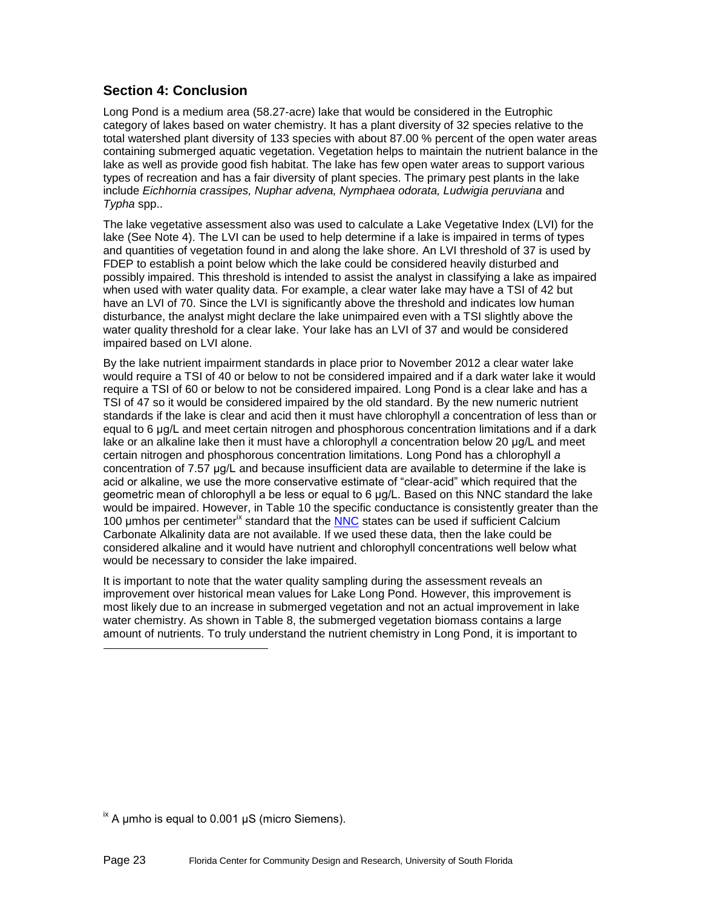#### **Section 4: Conclusion**

Long Pond is a medium area (58.27-acre) lake that would be considered in the Eutrophic category of lakes based on water chemistry. It has a plant diversity of 32 species relative to the total watershed plant diversity of 133 species with about 87.00 % percent of the open water areas containing submerged aquatic vegetation. Vegetation helps to maintain the nutrient balance in the lake as well as provide good fish habitat. The lake has few open water areas to support various types of recreation and has a fair diversity of plant species. The primary pest plants in the lake include *Eichhornia crassipes, Nuphar advena, Nymphaea odorata, Ludwigia peruviana* and *Typha* spp..

The lake vegetative assessment also was used to calculate a Lake Vegetative Index (LVI) for the lake (See Note 4). The LVI can be used to help determine if a lake is impaired in terms of types and quantities of vegetation found in and along the lake shore. An LVI threshold of 37 is used by FDEP to establish a point below which the lake could be considered heavily disturbed and possibly impaired. This threshold is intended to assist the analyst in classifying a lake as impaired when used with water quality data. For example, a clear water lake may have a TSI of 42 but have an LVI of 70. Since the LVI is significantly above the threshold and indicates low human disturbance, the analyst might declare the lake unimpaired even with a TSI slightly above the water quality threshold for a clear lake. Your lake has an LVI of 37 and would be considered impaired based on LVI alone.

By the lake nutrient impairment standards in place prior to November 2012 a clear water lake would require a TSI of 40 or below to not be considered impaired and if a dark water lake it would require a TSI of 60 or below to not be considered impaired. Long Pond is a clear lake and has a TSI of 47 so it would be considered impaired by the old standard. By the new numeric nutrient standards if the lake is clear and acid then it must have chlorophyll *a* concentration of less than or equal to 6 μg/L and meet certain nitrogen and phosphorous concentration limitations and if a dark lake or an alkaline lake then it must have a chlorophyll *a* concentration below 20 μg/L and meet certain nitrogen and phosphorous concentration limitations. Long Pond has a chlorophyll *a* concentration of 7.57 μg/L and because insufficient data are available to determine if the lake is acid or alkaline, we use the more conservative estimate of "clear-acid" which required that the geometric mean of chlorophyll a be less or equal to 6 μg/L. Based on this NNC standard the lake would be impaired. However, in [Table 10](#page-21-0) the specific conductance is consistently greater than the 100 umhos per centimeter<sup>ix</sup> standard that the [NNC](#page-25-0) states can be used if sufficient Calcium Carbonate Alkalinity data are not available. If we used these data, then the lake could be considered alkaline and it would have nutrient and chlorophyll concentrations well below what would be necessary to consider the lake impaired.

It is important to note that the water quality sampling during the assessment reveals an improvement over historical mean values for Lake Long Pond. However, this improvement is most likely due to an increase in submerged vegetation and not an actual improvement in lake water chemistry. As shown in [Table 8,](#page-19-1) the submerged vegetation biomass contains a large amount of nutrients. To truly understand the nutrient chemistry in Long Pond, it is important to

 $\frac{1}{2}$  A μmho is equal to 0.001 μS (micro Siemens).

l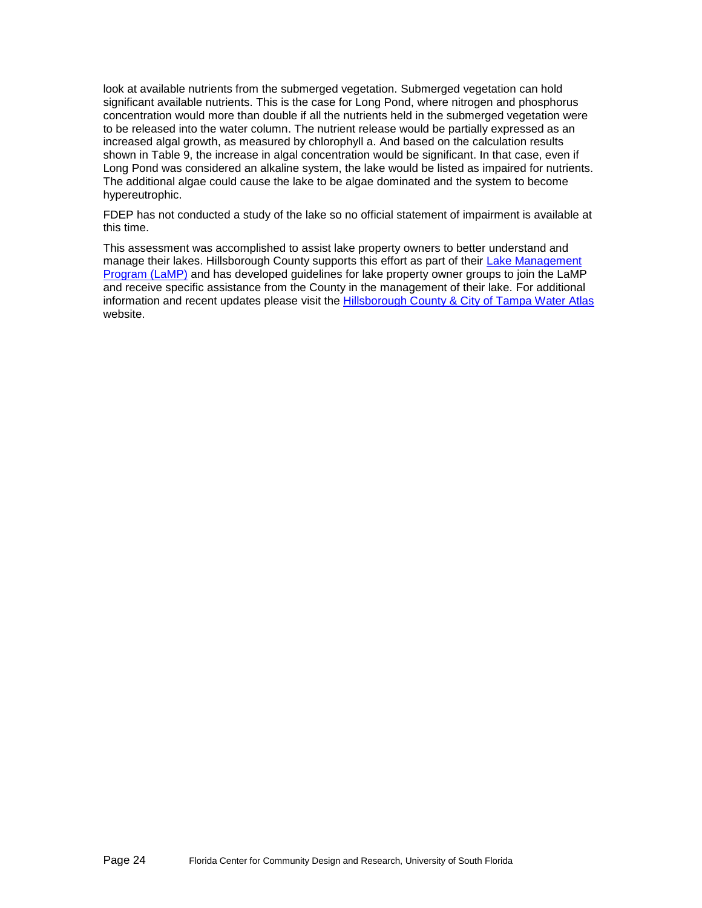look at available nutrients from the submerged vegetation. Submerged vegetation can hold significant available nutrients. This is the case for Long Pond, where nitrogen and phosphorus concentration would more than double if all the nutrients held in the submerged vegetation were to be released into the water column. The nutrient release would be partially expressed as an increased algal growth, as measured by chlorophyll a. And based on the calculation results shown in Table 9, the increase in algal concentration would be significant. In that case, even if Long Pond was considered an alkaline system, the lake would be listed as impaired for nutrients. The additional algae could cause the lake to be algae dominated and the system to become hypereutrophic.

FDEP has not conducted a study of the lake so no official statement of impairment is available at this time.

This assessment was accomplished to assist lake property owners to better understand and manage their lakes. Hillsborough County supports this effort as part of their [Lake Management](http://www.hillsborough.wateratlas.usf.edu/LakeManagement/)  [Program \(LaMP\)](http://www.hillsborough.wateratlas.usf.edu/LakeManagement/) and has developed guidelines for lake property owner groups to join the LaMP and receive specific assistance from the County in the management of their lake. For additional information and recent updates please visit the [Hillsborough County & City of Tampa Water Atlas](http://www.hillsborough.wateratlas.usf.edu/LakeManagement/) website.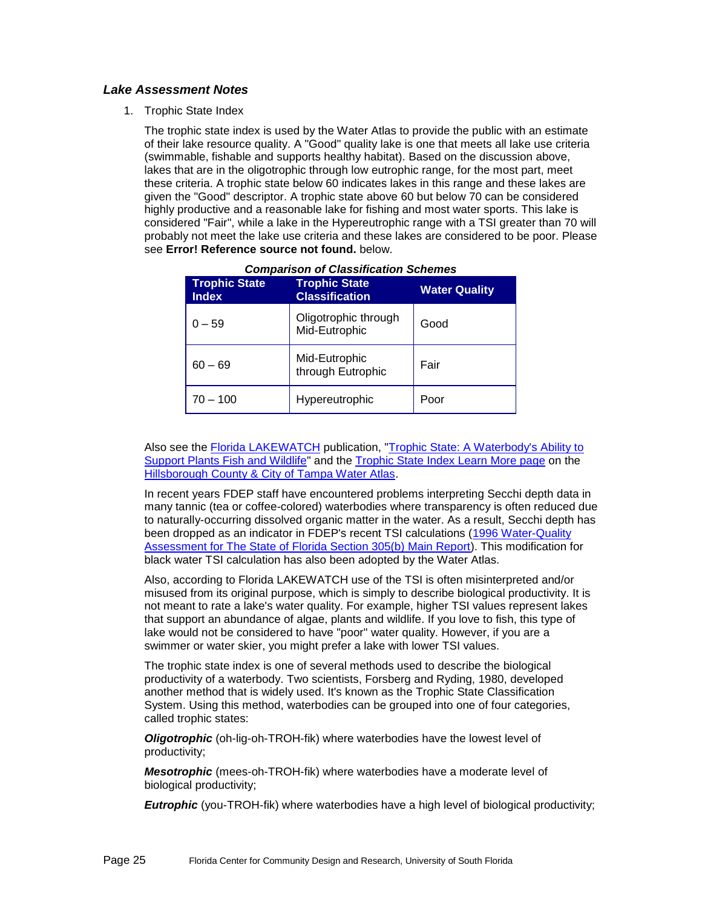#### *Lake Assessment Notes*

1. Trophic State Index

The trophic state index is used by the Water Atlas to provide the public with an estimate of their lake resource quality. A "Good" quality lake is one that meets all lake use criteria (swimmable, fishable and supports healthy habitat). Based on the discussion above, lakes that are in the oligotrophic through low eutrophic range, for the most part, meet these criteria. A trophic state below 60 indicates lakes in this range and these lakes are given the "Good" descriptor. A trophic state above 60 but below 70 can be considered highly productive and a reasonable lake for fishing and most water sports. This lake is considered "Fair", while a lake in the Hypereutrophic range with a TSI greater than 70 will probably not meet the lake use criteria and these lakes are considered to be poor. Please see **Error! Reference source not found.** below.

| <b>Trophic State</b><br><b>Index</b> | <b>Trophic State</b><br><b>Classification</b> | <b>Water Quality</b> |
|--------------------------------------|-----------------------------------------------|----------------------|
| $0 - 59$                             | Oligotrophic through<br>Mid-Eutrophic         | Good                 |
| $60 - 69$                            | Mid-Eutrophic<br>through Eutrophic            | Fair                 |
| 70 – 100                             | Hypereutrophic                                | Poor                 |

Also see the **Florida LAKEWATCH** publication, "Trophic State: A Waterbody's Ability to [Support Plants Fish and Wildlife"](http://lakewatch.ifas.ufl.edu/LWcirc.html) and the [Trophic State Index Learn More page](http://www.hillsborough.wateratlas.usf.edu/shared/learnmore.asp?toolsection=lm_tsi) on the [Hillsborough County & City of Tampa Water Atlas.](http://www.hillsborough.wateratlas.usf.edu/)

In recent years FDEP staff have encountered problems interpreting Secchi depth data in many tannic (tea or coffee-colored) waterbodies where transparency is often reduced due to naturally-occurring dissolved organic matter in the water. As a result, Secchi depth has been dropped as an indicator in FDEP's recent TSI calculations (1996 Water-Quality [Assessment for The State of Florida Section 305\(b\) Main Report\)](http://www.seminole.wateratlas.usf.edu/upload/documents/1996%20Water-Quality%20Assessment%20for%20the%20State%20of%20Florida%20Section%20305(b)%20Main%20Report.pdf). This modification for black water TSI calculation has also been adopted by the Water Atlas.

Also, according to Florida LAKEWATCH use of the TSI is often misinterpreted and/or misused from its original purpose, which is simply to describe biological productivity. It is not meant to rate a lake's water quality. For example, higher TSI values represent lakes that support an abundance of algae, plants and wildlife. If you love to fish, this type of lake would not be considered to have "poor" water quality. However, if you are a swimmer or water skier, you might prefer a lake with lower TSI values.

The trophic state index is one of several methods used to describe the biological productivity of a waterbody. Two scientists, Forsberg and Ryding, 1980, developed another method that is widely used. It's known as the Trophic State Classification System. Using this method, waterbodies can be grouped into one of four categories, called trophic states:

*Oligotrophic* (oh-lig-oh-TROH-fik) where waterbodies have the lowest level of productivity;

*Mesotrophic* (mees-oh-TROH-fik) where waterbodies have a moderate level of biological productivity;

*Eutrophic* (you-TROH-fik) where waterbodies have a high level of biological productivity;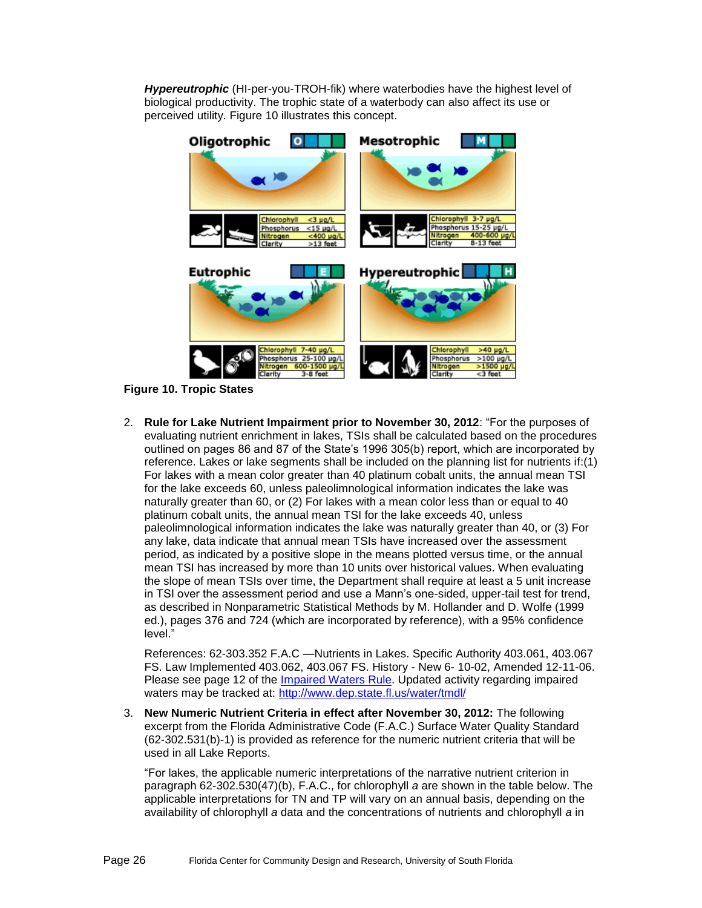*Hypereutrophic* (HI-per-you-TROH-fik) where waterbodies have the highest level of biological productivity. The trophic state of a waterbody can also affect its use or perceived utility. [Figure 10](#page-25-1) illustrates this concept.



<span id="page-25-1"></span>**Figure 10. Tropic States**

2. **Rule for Lake Nutrient Impairment prior to November 30, 2012**: "For the purposes of evaluating nutrient enrichment in lakes, TSIs shall be calculated based on the procedures outlined on pages 86 and 87 of the State's 1996 305(b) report, which are incorporated by reference. Lakes or lake segments shall be included on the planning list for nutrients if:(1) For lakes with a mean color greater than 40 platinum cobalt units, the annual mean TSI for the lake exceeds 60, unless paleolimnological information indicates the lake was naturally greater than 60, or (2) For lakes with a mean color less than or equal to 40 platinum cobalt units, the annual mean TSI for the lake exceeds 40, unless paleolimnological information indicates the lake was naturally greater than 40, or (3) For any lake, data indicate that annual mean TSIs have increased over the assessment period, as indicated by a positive slope in the means plotted versus time, or the annual mean TSI has increased by more than 10 units over historical values. When evaluating the slope of mean TSIs over time, the Department shall require at least a 5 unit increase in TSI over the assessment period and use a Mann's one-sided, upper-tail test for trend, as described in Nonparametric Statistical Methods by M. Hollander and D. Wolfe (1999 ed.), pages 376 and 724 (which are incorporated by reference), with a 95% confidence level."

References: 62-303.352 F.A.C —Nutrients in Lakes. Specific Authority 403.061, 403.067 FS. Law Implemented 403.062, 403.067 FS. History - New 6- 10-02, Amended 12-11-06. Please see page 12 of the [Impaired Waters Rule.](http://www.dep.state.fl.us/legal/Rules/shared/62-303/62-303.pdf) Updated activity regarding impaired waters may be tracked at:<http://www.dep.state.fl.us/water/tmdl/>

<span id="page-25-0"></span>3. **New Numeric Nutrient Criteria in effect after November 30, 2012:** The following excerpt from the Florida Administrative Code (F.A.C.) Surface Water Quality Standard (62-302.531(b)-1) is provided as reference for the numeric nutrient criteria that will be used in all Lake Reports.

"For lakes, the applicable numeric interpretations of the narrative nutrient criterion in paragraph 62-302.530(47)(b), F.A.C., for chlorophyll *a* are shown in the table below. The applicable interpretations for TN and TP will vary on an annual basis, depending on the availability of chlorophyll *a* data and the concentrations of nutrients and chlorophyll *a* in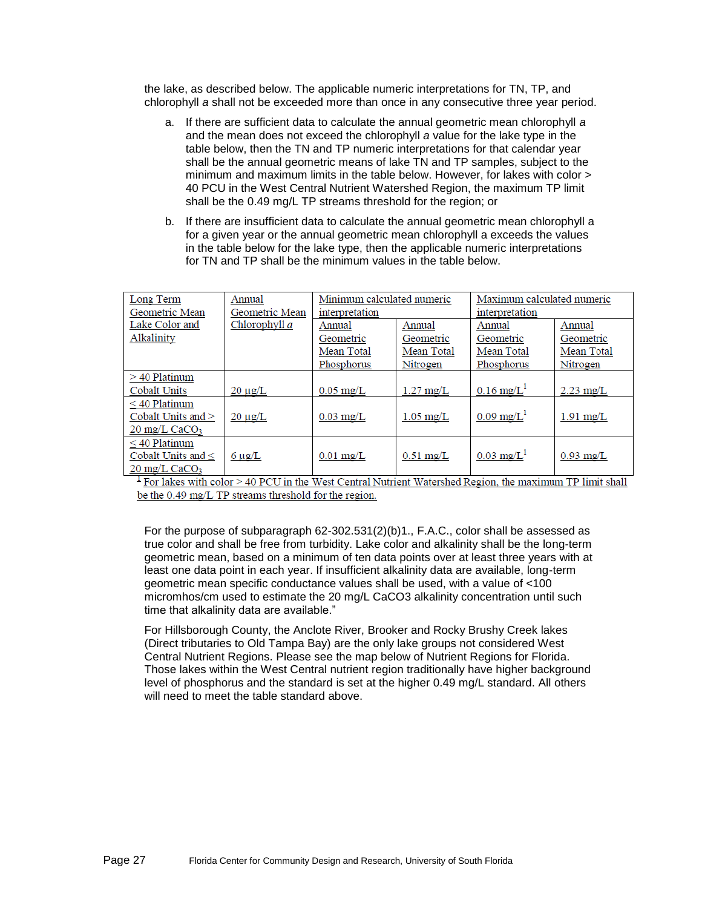the lake, as described below. The applicable numeric interpretations for TN, TP, and chlorophyll *a* shall not be exceeded more than once in any consecutive three year period.

- a. If there are sufficient data to calculate the annual geometric mean chlorophyll *a*  and the mean does not exceed the chlorophyll *a* value for the lake type in the table below, then the TN and TP numeric interpretations for that calendar year shall be the annual geometric means of lake TN and TP samples, subject to the minimum and maximum limits in the table below. However, for lakes with color > 40 PCU in the West Central Nutrient Watershed Region, the maximum TP limit shall be the 0.49 mg/L TP streams threshold for the region; or
- b. If there are insufficient data to calculate the annual geometric mean chlorophyll a for a given year or the annual geometric mean chlorophyll a exceeds the values in the table below for the lake type, then the applicable numeric interpretations for TN and TP shall be the minimum values in the table below.

| Long Term                           | Annual          | Minimum calculated numeric |                     | Maximum calculated numeric |                     |
|-------------------------------------|-----------------|----------------------------|---------------------|----------------------------|---------------------|
| Geometric Mean                      | Geometric Mean  | interpretation             |                     | interpretation             |                     |
| Lake Color and                      | Chlorophyll $a$ | Annual                     | Annual              | Annual                     | Annual              |
| Alkalinity                          |                 | Geometric                  | Geometric           | Geometric                  | Geometric           |
|                                     |                 | Mean Total                 | Mean Total          | Mean Total                 | Mean Total          |
|                                     |                 | Phosphorus                 | Nitrogen            | Phosphorus                 | Nitrogen            |
| $>40$ Platinum                      |                 |                            |                     |                            |                     |
| <b>Cobalt Units</b>                 | $20 \mu$ g/L    | $0.05 \text{ mg/L}$        | $1.27 \text{ mg/L}$ | $0.16$ mg/L <sup>1</sup>   | $2.23 \text{ mg/L}$ |
| $\leq$ 40 Platinum                  |                 |                            |                     |                            |                     |
| Cobalt Units and $>$                | $20 \mu g/L$    | $0.03 \text{ mg/L}$        | $1.05 \text{ mg/L}$ | $0.09 \text{ mg/L}$        | $1.91$ mg/L         |
| $20 \text{ mg/L}$ CaCO <sub>3</sub> |                 |                            |                     |                            |                     |
| $\leq$ 40 Platinum                  |                 |                            |                     |                            |                     |
| Cobalt Units and $\leq$             | $6 \mu g/L$     | $0.01$ mg/L                | $0.51 \text{ mg/L}$ | $0.03 \text{ mg/L}^1$      | $0.93 \text{ mg/L}$ |
| $20 \text{ mg/L}$ CaCO <sub>3</sub> |                 |                            |                     |                            |                     |

 $\frac{1}{2}$  For lakes with color > 40 PCU in the West Central Nutrient Watershed Region, the maximum TP limit shall be the 0.49 mg/L TP streams threshold for the region.

For the purpose of subparagraph 62-302.531(2)(b)1., F.A.C., color shall be assessed as true color and shall be free from turbidity. Lake color and alkalinity shall be the long-term geometric mean, based on a minimum of ten data points over at least three years with at least one data point in each year. If insufficient alkalinity data are available, long-term geometric mean specific conductance values shall be used, with a value of <100 micromhos/cm used to estimate the 20 mg/L CaCO3 alkalinity concentration until such time that alkalinity data are available."

For Hillsborough County, the Anclote River, Brooker and Rocky Brushy Creek lakes (Direct tributaries to Old Tampa Bay) are the only lake groups not considered West Central Nutrient Regions. Please see the map below of Nutrient Regions for Florida. Those lakes within the West Central nutrient region traditionally have higher background level of phosphorus and the standard is set at the higher 0.49 mg/L standard. All others will need to meet the table standard above.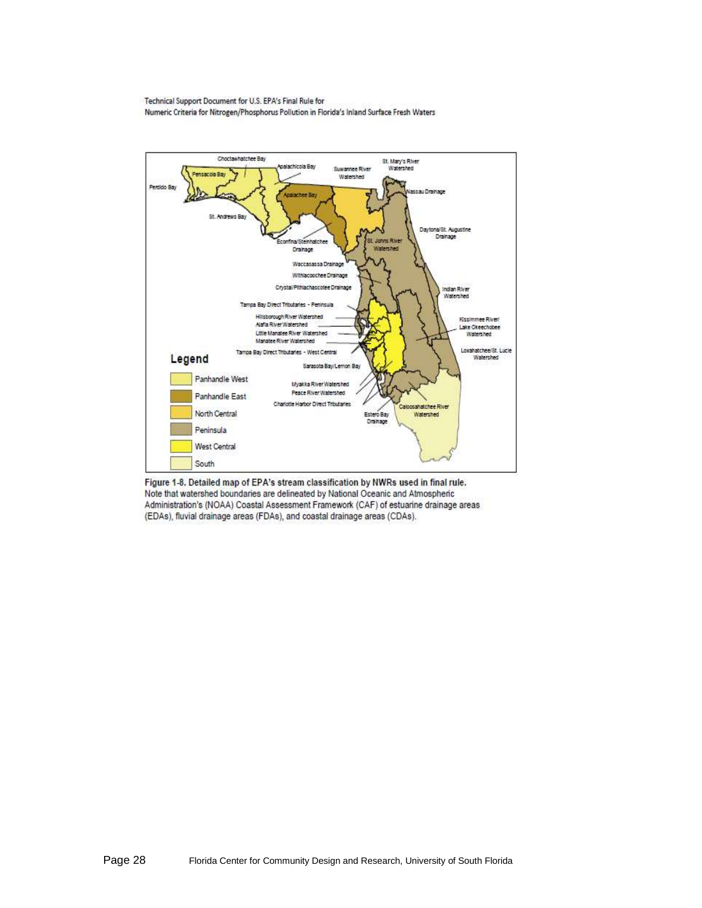Technical Support Document for U.S. EPA's Final Rule for Numeric Criteria for Nitrogen/Phosphorus Pollution in Florida's Inland Surface Fresh Waters



Figure 1-8. Detailed map of EPA's stream classification by NWRs used in final rule. Note that watershed boundaries are delineated by National Oceanic and Atmospheric Administration's (NOAA) Coastal Assessment Framework (CAF) of estuarine drainage areas (EDAs), fluvial drainage areas (FDAs), and coastal drainage areas (CDAs).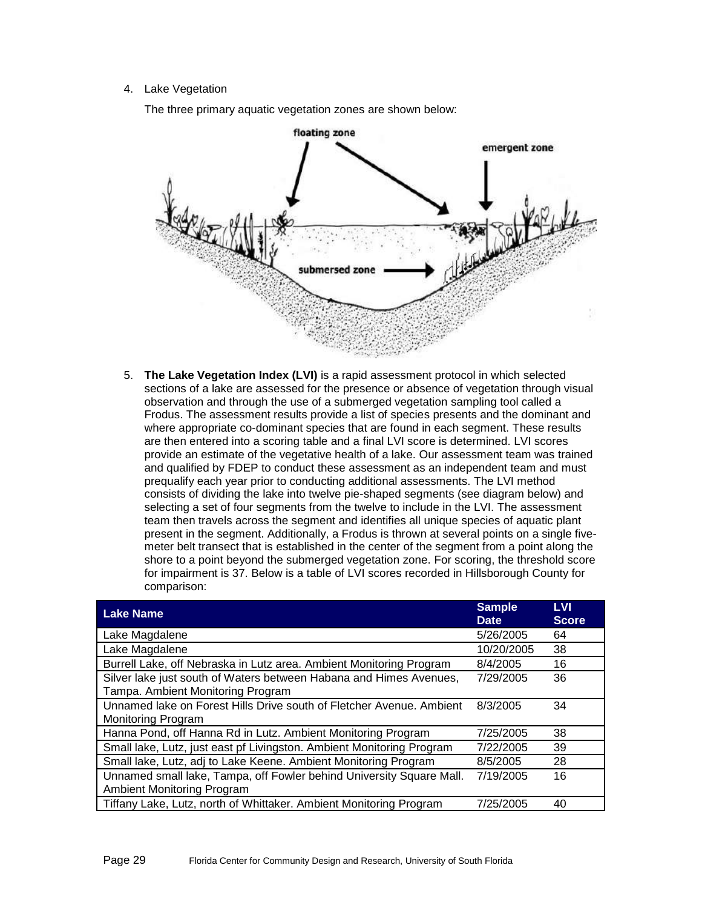#### 4. Lake Vegetation

The three primary aquatic vegetation zones are shown below:



5. **The Lake Vegetation Index (LVI)** is a rapid assessment protocol in which selected sections of a lake are assessed for the presence or absence of vegetation through visual observation and through the use of a submerged vegetation sampling tool called a Frodus. The assessment results provide a list of species presents and the dominant and where appropriate co-dominant species that are found in each segment. These results are then entered into a scoring table and a final LVI score is determined. LVI scores provide an estimate of the vegetative health of a lake. Our assessment team was trained and qualified by FDEP to conduct these assessment as an independent team and must prequalify each year prior to conducting additional assessments. The LVI method consists of dividing the lake into twelve pie-shaped segments (see diagram below) and selecting a set of four segments from the twelve to include in the LVI. The assessment team then travels across the segment and identifies all unique species of aquatic plant present in the segment. Additionally, a Frodus is thrown at several points on a single fivemeter belt transect that is established in the center of the segment from a point along the shore to a point beyond the submerged vegetation zone. For scoring, the threshold score for impairment is 37. Below is a table of LVI scores recorded in Hillsborough County for comparison:

| <b>Lake Name</b>                                                                                          | <b>Sample</b><br><b>Date</b> | <b>LVI</b><br><b>Score</b> |
|-----------------------------------------------------------------------------------------------------------|------------------------------|----------------------------|
| Lake Magdalene                                                                                            | 5/26/2005                    | 64                         |
| Lake Magdalene                                                                                            | 10/20/2005                   | 38                         |
| Burrell Lake, off Nebraska in Lutz area. Ambient Monitoring Program                                       | 8/4/2005                     | 16                         |
| Silver lake just south of Waters between Habana and Himes Avenues,<br>Tampa. Ambient Monitoring Program   | 7/29/2005                    | 36                         |
| Unnamed lake on Forest Hills Drive south of Fletcher Avenue. Ambient<br>Monitoring Program                | 8/3/2005                     | 34                         |
| Hanna Pond, off Hanna Rd in Lutz. Ambient Monitoring Program                                              | 7/25/2005                    | 38                         |
| Small lake, Lutz, just east pf Livingston. Ambient Monitoring Program                                     | 7/22/2005                    | 39                         |
| Small lake, Lutz, adj to Lake Keene. Ambient Monitoring Program                                           | 8/5/2005                     | 28                         |
| Unnamed small lake, Tampa, off Fowler behind University Square Mall.<br><b>Ambient Monitoring Program</b> | 7/19/2005                    | 16                         |
| Tiffany Lake, Lutz, north of Whittaker. Ambient Monitoring Program                                        | 7/25/2005                    | 40                         |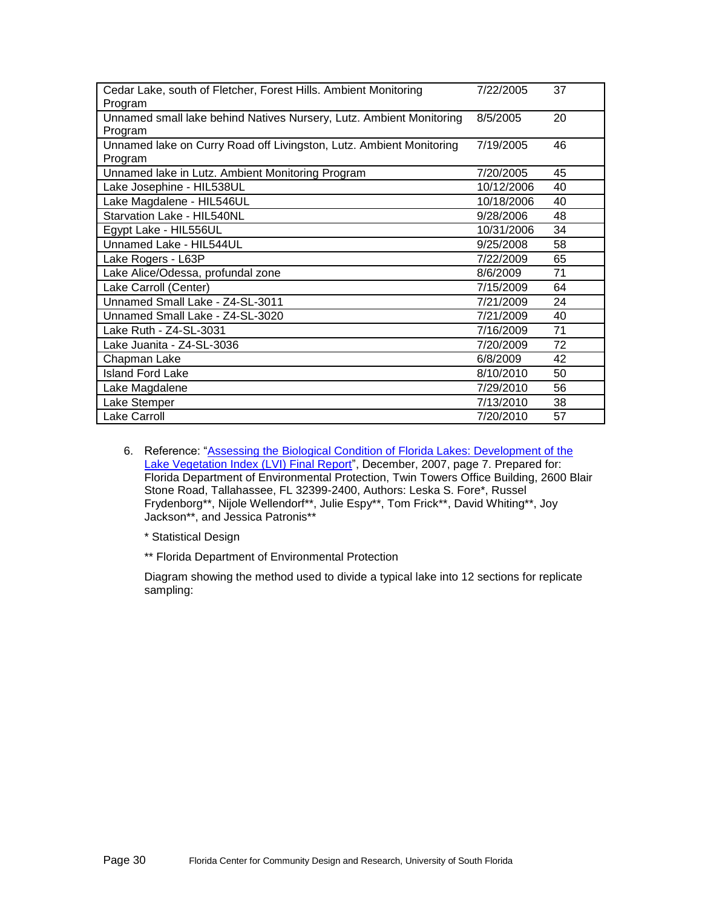| Cedar Lake, south of Fletcher, Forest Hills. Ambient Monitoring     | 7/22/2005  | 37 |
|---------------------------------------------------------------------|------------|----|
| Program                                                             |            |    |
| Unnamed small lake behind Natives Nursery, Lutz. Ambient Monitoring | 8/5/2005   | 20 |
| Program                                                             |            |    |
| Unnamed lake on Curry Road off Livingston, Lutz. Ambient Monitoring | 7/19/2005  | 46 |
| Program                                                             |            |    |
| Unnamed lake in Lutz. Ambient Monitoring Program                    | 7/20/2005  | 45 |
| Lake Josephine - HIL538UL                                           | 10/12/2006 | 40 |
| Lake Magdalene - HIL546UL                                           | 10/18/2006 | 40 |
| Starvation Lake - HIL540NL                                          | 9/28/2006  | 48 |
| Egypt Lake - HIL556UL                                               | 10/31/2006 | 34 |
| Unnamed Lake - HIL544UL                                             | 9/25/2008  | 58 |
| Lake Rogers - L63P                                                  | 7/22/2009  | 65 |
| Lake Alice/Odessa, profundal zone                                   | 8/6/2009   | 71 |
| Lake Carroll (Center)                                               | 7/15/2009  | 64 |
| Unnamed Small Lake - Z4-SL-3011                                     | 7/21/2009  | 24 |
| Unnamed Small Lake - Z4-SL-3020                                     | 7/21/2009  | 40 |
| Lake Ruth - Z4-SL-3031                                              | 7/16/2009  | 71 |
| Lake Juanita - Z4-SL-3036                                           | 7/20/2009  | 72 |
| Chapman Lake                                                        | 6/8/2009   | 42 |
| <b>Island Ford Lake</b>                                             | 8/10/2010  | 50 |
| Lake Magdalene                                                      | 7/29/2010  | 56 |
| Lake Stemper                                                        | 7/13/2010  | 38 |
| <b>Lake Carroll</b>                                                 | 7/20/2010  | 57 |

6. Reference: ["Assessing the Biological Condition of Florida Lakes: Development of the](http://publicfiles.dep.state.fl.us/dear/labs/sas/sopdoc/lvi_final05.pdf)  [Lake Vegetation Index \(LVI\) Final Report"](http://publicfiles.dep.state.fl.us/dear/labs/sas/sopdoc/lvi_final05.pdf), December, 2007, page 7. Prepared for: Florida Department of Environmental Protection, Twin Towers Office Building, 2600 Blair Stone Road, Tallahassee, FL 32399-2400, Authors: Leska S. Fore\*, Russel Frydenborg\*\*, Nijole Wellendorf\*\*, Julie Espy\*\*, Tom Frick\*\*, David Whiting\*\*, Joy Jackson\*\*, and Jessica Patronis\*\*

\* Statistical Design

\*\* Florida Department of Environmental Protection

Diagram showing the method used to divide a typical lake into 12 sections for replicate sampling: